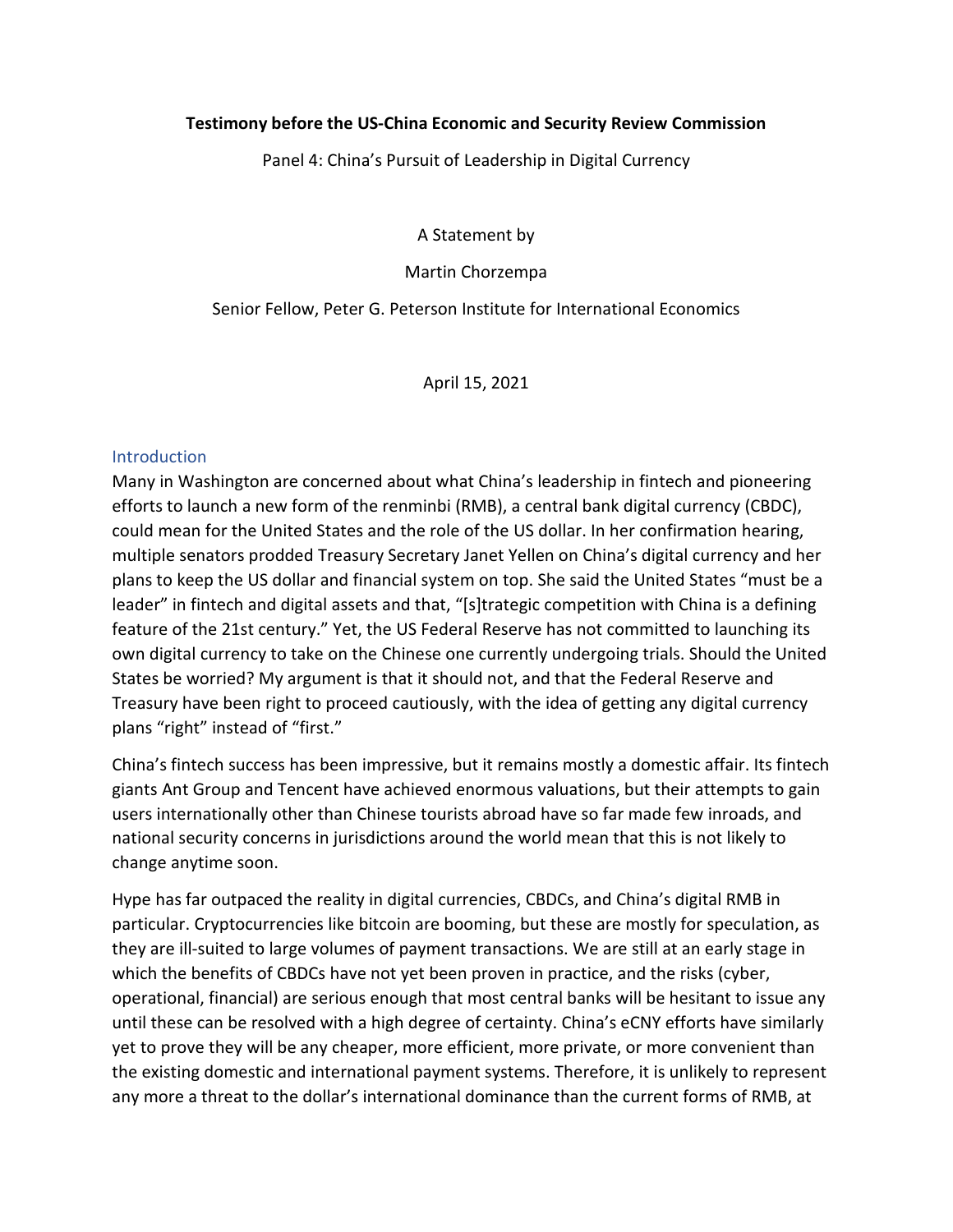## **Testimony before the US-China Economic and Security Review Commission**

Panel 4: China's Pursuit of Leadership in Digital Currency

A Statement by

Martin Chorzempa

Senior Fellow, Peter G. Peterson Institute for International Economics

April 15, 2021

## **Introduction**

Many in Washington are concerned about what China's leadership in fintech and pioneering efforts to launch a new form of the renminbi (RMB), a central bank digital currency (CBDC), could mean for the United States and the role of the US dollar. In her confirmation hearing, multiple senators prodded Treasury Secretary Janet Yellen on China's digital currency and her plans to keep the US dollar and financial system on top. She said the United States "must be a leader" in fintech and digital assets and that, "[s]trategic competition with China is a defining feature of the 21st century." Yet, the US Federal Reserve has not committed to launching its own digital currency to take on the Chinese one currently undergoing trials. Should the United States be worried? My argument is that it should not, and that the Federal Reserve and Treasury have been right to proceed cautiously, with the idea of getting any digital currency plans "right" instead of "first."

China's fintech success has been impressive, but it remains mostly a domestic affair. Its fintech giants Ant Group and Tencent have achieved enormous valuations, but their attempts to gain users internationally other than Chinese tourists abroad have so far made few inroads, and national security concerns in jurisdictions around the world mean that this is not likely to change anytime soon.

Hype has far outpaced the reality in digital currencies, CBDCs, and China's digital RMB in particular. Cryptocurrencies like bitcoin are booming, but these are mostly for speculation, as they are ill-suited to large volumes of payment transactions. We are still at an early stage in which the benefits of CBDCs have not yet been proven in practice, and the risks (cyber, operational, financial) are serious enough that most central banks will be hesitant to issue any until these can be resolved with a high degree of certainty. China's eCNY efforts have similarly yet to prove they will be any cheaper, more efficient, more private, or more convenient than the existing domestic and international payment systems. Therefore, it is unlikely to represent any more a threat to the dollar's international dominance than the current forms of RMB, at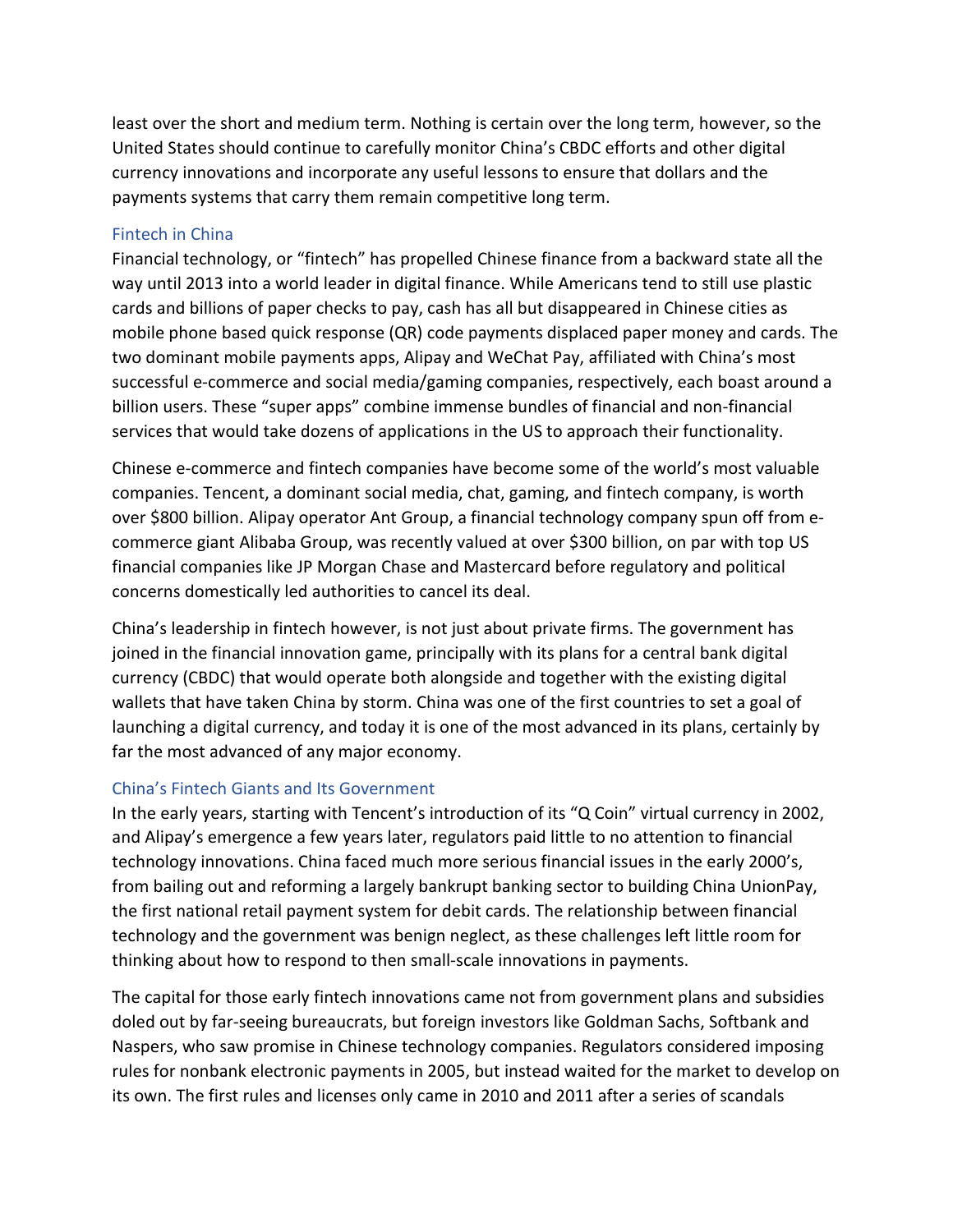least over the short and medium term. Nothing is certain over the long term, however, so the United States should continue to carefully monitor China's CBDC efforts and other digital currency innovations and incorporate any useful lessons to ensure that dollars and the payments systems that carry them remain competitive long term.

#### Fintech in China

Financial technology, or "fintech" has propelled Chinese finance from a backward state all the way until 2013 into a world leader in digital finance. While Americans tend to still use plastic cards and billions of paper checks to pay, cash has all but disappeared in Chinese cities as mobile phone based quick response (QR) code payments displaced paper money and cards. The two dominant mobile payments apps, Alipay and WeChat Pay, affiliated with China's most successful e-commerce and social media/gaming companies, respectively, each boast around a billion users. These "super apps" combine immense bundles of financial and non-financial services that would take dozens of applications in the US to approach their functionality.

Chinese e-commerce and fintech companies have become some of the world's most valuable companies. Tencent, a dominant social media, chat, gaming, and fintech company, is worth over \$800 billion. Alipay operator Ant Group, a financial technology company spun off from ecommerce giant Alibaba Group, was recently valued at over \$300 billion, on par with top US financial companies like JP Morgan Chase and Mastercard before regulatory and political concerns domestically led authorities to cancel its deal.

China's leadership in fintech however, is not just about private firms. The government has joined in the financial innovation game, principally with its plans for a central bank digital currency (CBDC) that would operate both alongside and together with the existing digital wallets that have taken China by storm. China was one of the first countries to set a goal of launching a digital currency, and today it is one of the most advanced in its plans, certainly by far the most advanced of any major economy.

### China's Fintech Giants and Its Government

In the early years, starting with Tencent's introduction of its "Q Coin" virtual currency in 2002, and Alipay's emergence a few years later, regulators paid little to no attention to financial technology innovations. China faced much more serious financial issues in the early 2000's, from bailing out and reforming a largely bankrupt banking sector to building China UnionPay, the first national retail payment system for debit cards. The relationship between financial technology and the government was benign neglect, as these challenges left little room for thinking about how to respond to then small-scale innovations in payments.

The capital for those early fintech innovations came not from government plans and subsidies doled out by far-seeing bureaucrats, but foreign investors like Goldman Sachs, Softbank and Naspers, who saw promise in Chinese technology companies. Regulators considered imposing rules for nonbank electronic payments in 2005, but instead waited for the market to develop on its own. The first rules and licenses only came in 2010 and 2011 after a series of scandals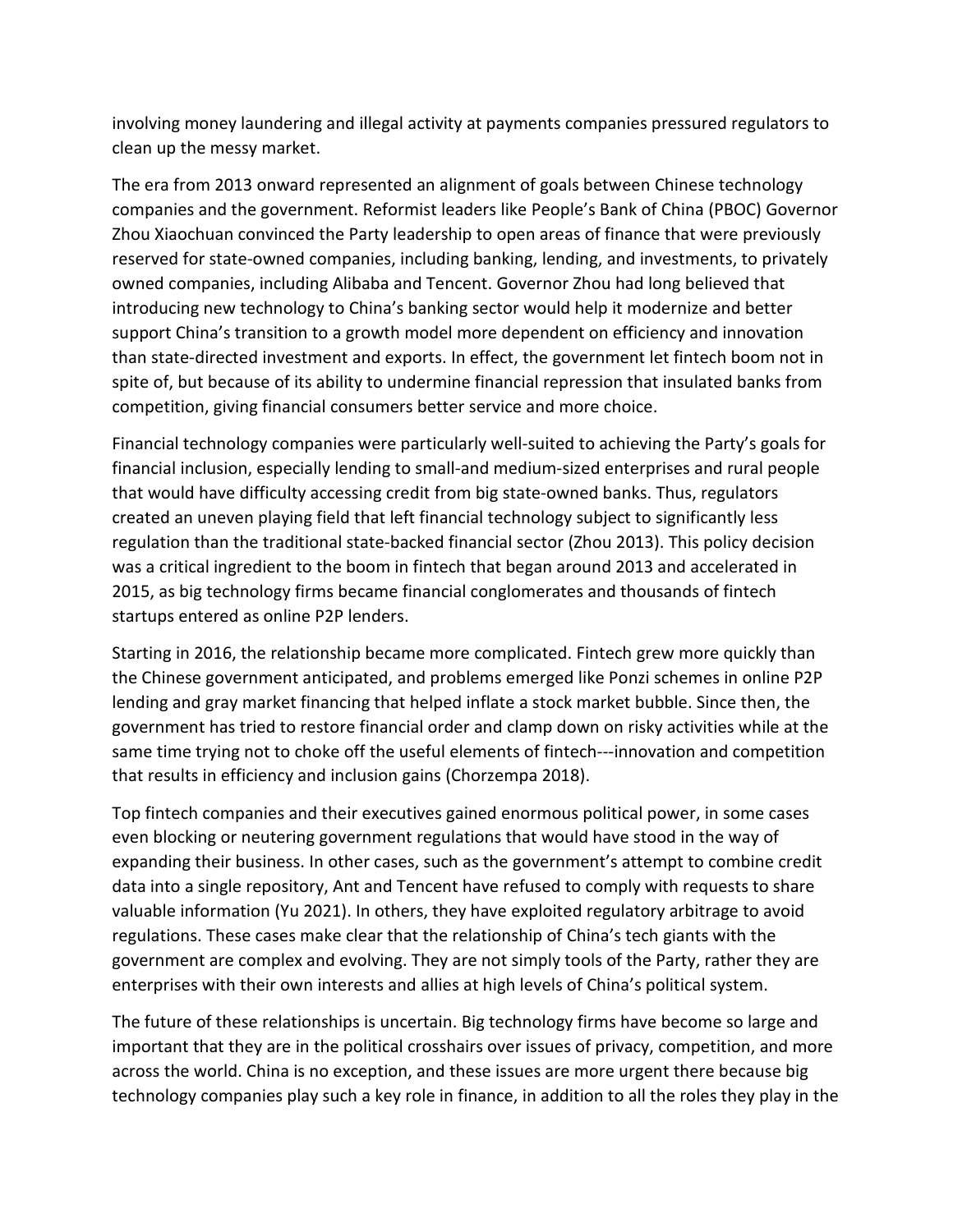involving money laundering and illegal activity at payments companies pressured regulators to clean up the messy market.

The era from 2013 onward represented an alignment of goals between Chinese technology companies and the government. Reformist leaders like People's Bank of China (PBOC) Governor Zhou Xiaochuan convinced the Party leadership to open areas of finance that were previously reserved for state-owned companies, including banking, lending, and investments, to privately owned companies, including Alibaba and Tencent. Governor Zhou had long believed that introducing new technology to China's banking sector would help it modernize and better support China's transition to a growth model more dependent on efficiency and innovation than state-directed investment and exports. In effect, the government let fintech boom not in spite of, but because of its ability to undermine financial repression that insulated banks from competition, giving financial consumers better service and more choice.

Financial technology companies were particularly well-suited to achieving the Party's goals for financial inclusion, especially lending to small-and medium-sized enterprises and rural people that would have difficulty accessing credit from big state-owned banks. Thus, regulators created an uneven playing field that left financial technology subject to significantly less regulation than the traditional state-backed financial sector (Zhou 2013). This policy decision was a critical ingredient to the boom in fintech that began around 2013 and accelerated in 2015, as big technology firms became financial conglomerates and thousands of fintech startups entered as online P2P lenders.

Starting in 2016, the relationship became more complicated. Fintech grew more quickly than the Chinese government anticipated, and problems emerged like Ponzi schemes in online P2P lending and gray market financing that helped inflate a stock market bubble. Since then, the government has tried to restore financial order and clamp down on risky activities while at the same time trying not to choke off the useful elements of fintech---innovation and competition that results in efficiency and inclusion gains (Chorzempa 2018).

Top fintech companies and their executives gained enormous political power, in some cases even blocking or neutering government regulations that would have stood in the way of expanding their business. In other cases, such as the government's attempt to combine credit data into a single repository, Ant and Tencent have refused to comply with requests to share valuable information (Yu 2021). In others, they have exploited regulatory arbitrage to avoid regulations. These cases make clear that the relationship of China's tech giants with the government are complex and evolving. They are not simply tools of the Party, rather they are enterprises with their own interests and allies at high levels of China's political system.

The future of these relationships is uncertain. Big technology firms have become so large and important that they are in the political crosshairs over issues of privacy, competition, and more across the world. China is no exception, and these issues are more urgent there because big technology companies play such a key role in finance, in addition to all the roles they play in the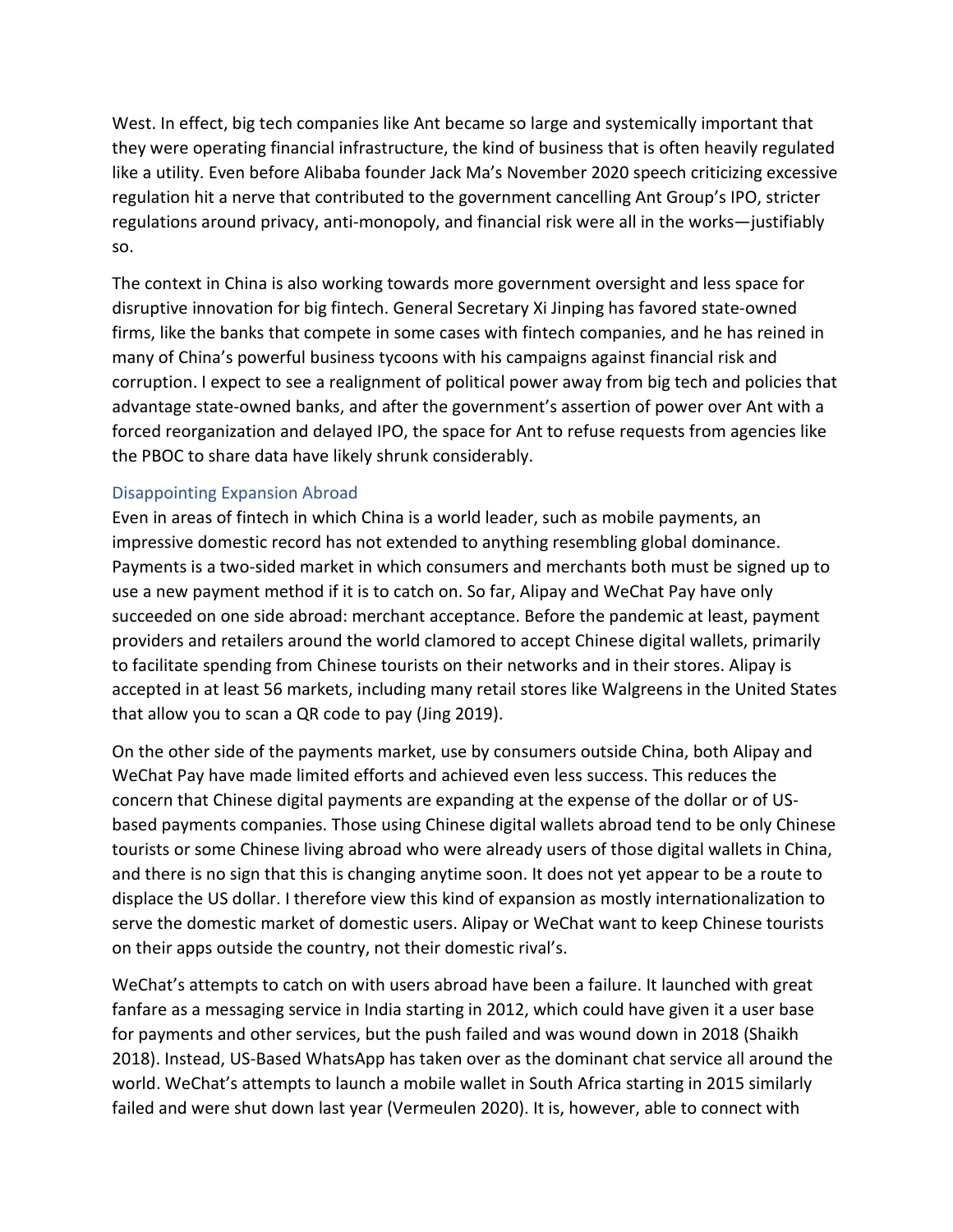West. In effect, big tech companies like Ant became so large and systemically important that they were operating financial infrastructure, the kind of business that is often heavily regulated like a utility. Even before Alibaba founder Jack Ma's November 2020 speech criticizing excessive regulation hit a nerve that contributed to the government cancelling Ant Group's IPO, stricter regulations around privacy, anti-monopoly, and financial risk were all in the works—justifiably so.

The context in China is also working towards more government oversight and less space for disruptive innovation for big fintech. General Secretary Xi Jinping has favored state-owned firms, like the banks that compete in some cases with fintech companies, and he has reined in many of China's powerful business tycoons with his campaigns against financial risk and corruption. I expect to see a realignment of political power away from big tech and policies that advantage state-owned banks, and after the government's assertion of power over Ant with a forced reorganization and delayed IPO, the space for Ant to refuse requests from agencies like the PBOC to share data have likely shrunk considerably.

### Disappointing Expansion Abroad

Even in areas of fintech in which China is a world leader, such as mobile payments, an impressive domestic record has not extended to anything resembling global dominance. Payments is a two-sided market in which consumers and merchants both must be signed up to use a new payment method if it is to catch on. So far, Alipay and WeChat Pay have only succeeded on one side abroad: merchant acceptance. Before the pandemic at least, payment providers and retailers around the world clamored to accept Chinese digital wallets, primarily to facilitate spending from Chinese tourists on their networks and in their stores. Alipay is accepted in at least 56 markets, including many retail stores like Walgreens in the United States that allow you to scan a QR code to pay (Jing 2019).

On the other side of the payments market, use by consumers outside China, both Alipay and WeChat Pay have made limited efforts and achieved even less success. This reduces the concern that Chinese digital payments are expanding at the expense of the dollar or of USbased payments companies. Those using Chinese digital wallets abroad tend to be only Chinese tourists or some Chinese living abroad who were already users of those digital wallets in China, and there is no sign that this is changing anytime soon. It does not yet appear to be a route to displace the US dollar. I therefore view this kind of expansion as mostly internationalization to serve the domestic market of domestic users. Alipay or WeChat want to keep Chinese tourists on their apps outside the country, not their domestic rival's.

WeChat's attempts to catch on with users abroad have been a failure. It launched with great fanfare as a messaging service in India starting in 2012, which could have given it a user base for payments and other services, but the push failed and was wound down in 2018 (Shaikh 2018). Instead, US-Based WhatsApp has taken over as the dominant chat service all around the world. WeChat's attempts to launch a mobile wallet in South Africa starting in 2015 similarly failed and were shut down last year (Vermeulen 2020). It is, however, able to connect with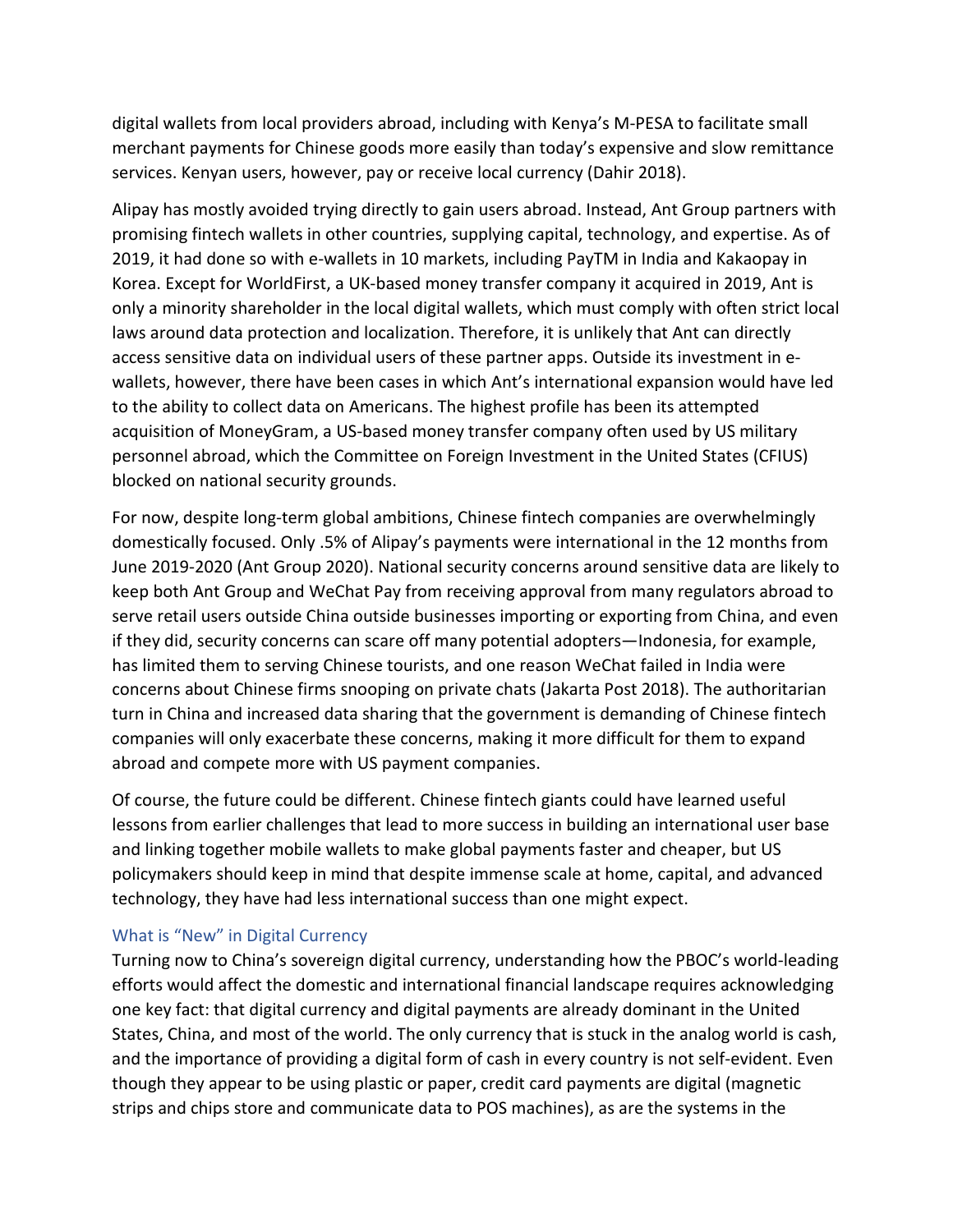digital wallets from local providers abroad, including with Kenya's M-PESA to facilitate small merchant payments for Chinese goods more easily than today's expensive and slow remittance services. Kenyan users, however, pay or receive local currency (Dahir 2018).

Alipay has mostly avoided trying directly to gain users abroad. Instead, Ant Group partners with promising fintech wallets in other countries, supplying capital, technology, and expertise. As of 2019, it had done so with e-wallets in 10 markets, including PayTM in India and Kakaopay in Korea. Except for WorldFirst, a UK-based money transfer company it acquired in 2019, Ant is only a minority shareholder in the local digital wallets, which must comply with often strict local laws around data protection and localization. Therefore, it is unlikely that Ant can directly access sensitive data on individual users of these partner apps. Outside its investment in ewallets, however, there have been cases in which Ant's international expansion would have led to the ability to collect data on Americans. The highest profile has been its attempted acquisition of MoneyGram, a US-based money transfer company often used by US military personnel abroad, which the Committee on Foreign Investment in the United States (CFIUS) blocked on national security grounds.

For now, despite long-term global ambitions, Chinese fintech companies are overwhelmingly domestically focused. Only .5% of Alipay's payments were international in the 12 months from June 2019-2020 (Ant Group 2020). National security concerns around sensitive data are likely to keep both Ant Group and WeChat Pay from receiving approval from many regulators abroad to serve retail users outside China outside businesses importing or exporting from China, and even if they did, security concerns can scare off many potential adopters—Indonesia, for example, has limited them to serving Chinese tourists, and one reason WeChat failed in India were concerns about Chinese firms snooping on private chats (Jakarta Post 2018). The authoritarian turn in China and increased data sharing that the government is demanding of Chinese fintech companies will only exacerbate these concerns, making it more difficult for them to expand abroad and compete more with US payment companies.

Of course, the future could be different. Chinese fintech giants could have learned useful lessons from earlier challenges that lead to more success in building an international user base and linking together mobile wallets to make global payments faster and cheaper, but US policymakers should keep in mind that despite immense scale at home, capital, and advanced technology, they have had less international success than one might expect.

### What is "New" in Digital Currency

Turning now to China's sovereign digital currency, understanding how the PBOC's world-leading efforts would affect the domestic and international financial landscape requires acknowledging one key fact: that digital currency and digital payments are already dominant in the United States, China, and most of the world. The only currency that is stuck in the analog world is cash, and the importance of providing a digital form of cash in every country is not self-evident. Even though they appear to be using plastic or paper, credit card payments are digital (magnetic strips and chips store and communicate data to POS machines), as are the systems in the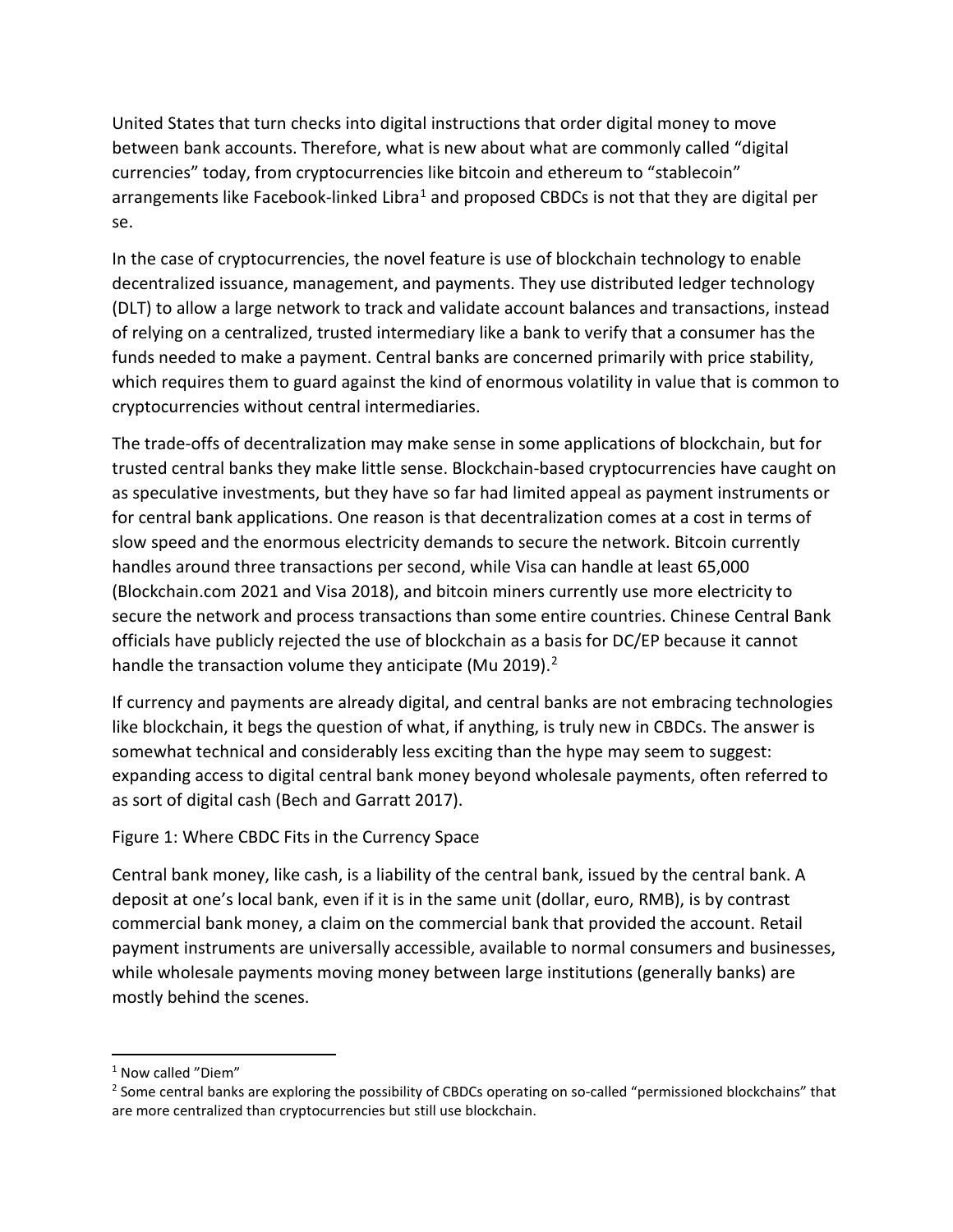United States that turn checks into digital instructions that order digital money to move between bank accounts. Therefore, what is new about what are commonly called "digital currencies" today, from cryptocurrencies like bitcoin and ethereum to "stablecoin" arrangements like Facebook-linked Libra<sup>[1](#page-5-0)</sup> and proposed CBDCs is not that they are digital per se.

In the case of cryptocurrencies, the novel feature is use of blockchain technology to enable decentralized issuance, management, and payments. They use distributed ledger technology (DLT) to allow a large network to track and validate account balances and transactions, instead of relying on a centralized, trusted intermediary like a bank to verify that a consumer has the funds needed to make a payment. Central banks are concerned primarily with price stability, which requires them to guard against the kind of enormous volatility in value that is common to cryptocurrencies without central intermediaries.

The trade-offs of decentralization may make sense in some applications of blockchain, but for trusted central banks they make little sense. Blockchain-based cryptocurrencies have caught on as speculative investments, but they have so far had limited appeal as payment instruments or for central bank applications. One reason is that decentralization comes at a cost in terms of slow speed and the enormous electricity demands to secure the network. Bitcoin currently handles around three transactions per second, while Visa can handle at least 65,000 (Blockchain.com 2021 and Visa 2018), and bitcoin miners currently use more electricity to secure the network and process transactions than some entire countries. Chinese Central Bank officials have publicly rejected the use of blockchain as a basis for DC/EP because it cannot handle the transaction volume they anticipate (Mu [2](#page-5-1)019). $<sup>2</sup>$ </sup>

If currency and payments are already digital, and central banks are not embracing technologies like blockchain, it begs the question of what, if anything, is truly new in CBDCs. The answer is somewhat technical and considerably less exciting than the hype may seem to suggest: expanding access to digital central bank money beyond wholesale payments, often referred to as sort of digital cash (Bech and Garratt 2017).

# Figure 1: Where CBDC Fits in the Currency Space

Central bank money, like cash, is a liability of the central bank, issued by the central bank. A deposit at one's local bank, even if it is in the same unit (dollar, euro, RMB), is by contrast commercial bank money, a claim on the commercial bank that provided the account. Retail payment instruments are universally accessible, available to normal consumers and businesses, while wholesale payments moving money between large institutions (generally banks) are mostly behind the scenes.

<span id="page-5-0"></span><sup>&</sup>lt;sup>1</sup> Now called "Diem"

<span id="page-5-1"></span><sup>&</sup>lt;sup>2</sup> Some central banks are exploring the possibility of CBDCs operating on so-called "permissioned blockchains" that are more centralized than cryptocurrencies but still use blockchain.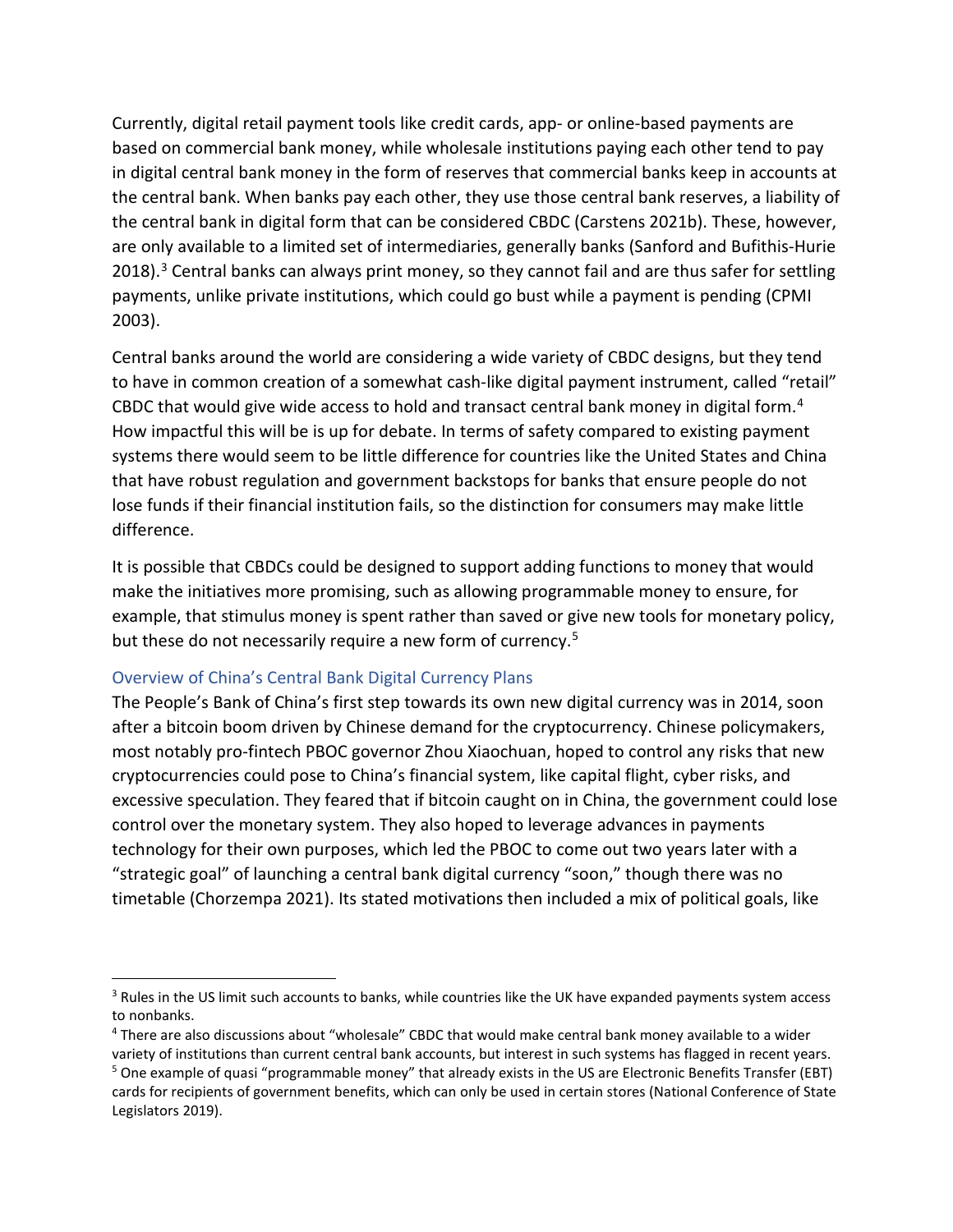Currently, digital retail payment tools like credit cards, app- or online-based payments are based on commercial bank money, while wholesale institutions paying each other tend to pay in digital central bank money in the form of reserves that commercial banks keep in accounts at the central bank. When banks pay each other, they use those central bank reserves, a liability of the central bank in digital form that can be considered CBDC (Carstens 2021b). These, however, are only available to a limited set of intermediaries, generally banks (Sanford and Bufithis-Hurie 2018).<sup>[3](#page-6-0)</sup> Central banks can always print money, so they cannot fail and are thus safer for settling payments, unlike private institutions, which could go bust while a payment is pending (CPMI 2003).

Central banks around the world are considering a wide variety of CBDC designs, but they tend to have in common creation of a somewhat cash-like digital payment instrument, called "retail" CBDC that would give wide access to hold and transact central bank money in digital form.<sup>[4](#page-6-1)</sup> How impactful this will be is up for debate. In terms of safety compared to existing payment systems there would seem to be little difference for countries like the United States and China that have robust regulation and government backstops for banks that ensure people do not lose funds if their financial institution fails, so the distinction for consumers may make little difference.

It is possible that CBDCs could be designed to support adding functions to money that would make the initiatives more promising, such as allowing programmable money to ensure, for example, that stimulus money is spent rather than saved or give new tools for monetary policy, but these do not necessarily require a new form of currency.<sup>[5](#page-6-2)</sup>

#### Overview of China's Central Bank Digital Currency Plans

The People's Bank of China's first step towards its own new digital currency was in 2014, soon after a bitcoin boom driven by Chinese demand for the cryptocurrency. Chinese policymakers, most notably pro-fintech PBOC governor Zhou Xiaochuan, hoped to control any risks that new cryptocurrencies could pose to China's financial system, like capital flight, cyber risks, and excessive speculation. They feared that if bitcoin caught on in China, the government could lose control over the monetary system. They also hoped to leverage advances in payments technology for their own purposes, which led the PBOC to come out two years later with a "strategic goal" of launching a central bank digital currency "soon," though there was no timetable (Chorzempa 2021). Its stated motivations then included a mix of political goals, like

<span id="page-6-0"></span><sup>&</sup>lt;sup>3</sup> Rules in the US limit such accounts to banks, while countries like the UK have expanded payments system access to nonbanks.

<span id="page-6-1"></span><sup>4</sup> There are also discussions about "wholesale" CBDC that would make central bank money available to a wider

<span id="page-6-2"></span>variety of institutions than current central bank accounts, but interest in such systems has flagged in recent years. <sup>5</sup> One example of quasi "programmable money" that already exists in the US are Electronic Benefits Transfer (EBT) cards for recipients of government benefits, which can only be used in certain stores (National Conference of State Legislators 2019).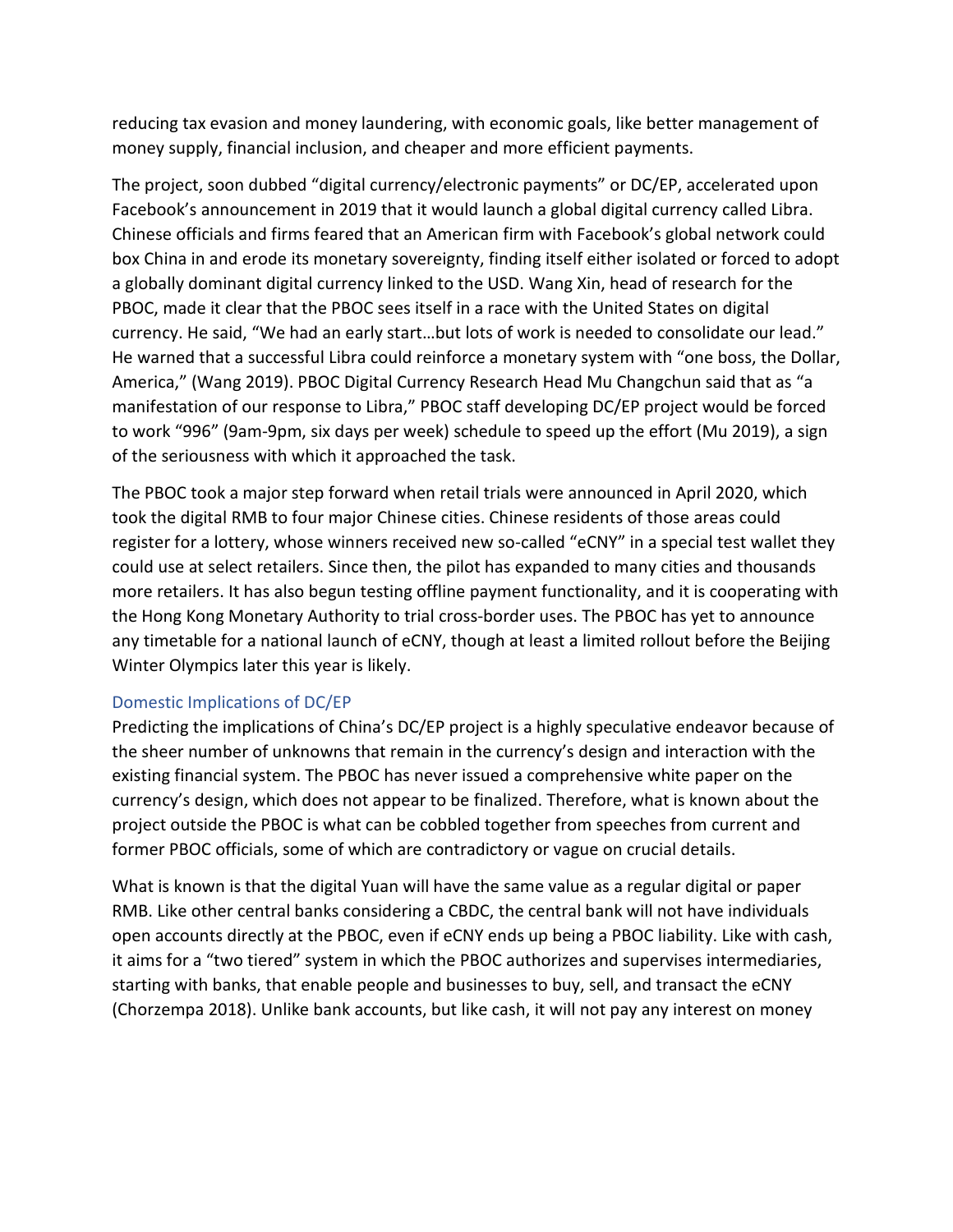reducing tax evasion and money laundering, with economic goals, like better management of money supply, financial inclusion, and cheaper and more efficient payments.

The project, soon dubbed "digital currency/electronic payments" or DC/EP, accelerated upon Facebook's announcement in 2019 that it would launch a global digital currency called Libra. Chinese officials and firms feared that an American firm with Facebook's global network could box China in and erode its monetary sovereignty, finding itself either isolated or forced to adopt a globally dominant digital currency linked to the USD. Wang Xin, head of research for the PBOC, made it clear that the PBOC sees itself in a race with the United States on digital currency. He said, "We had an early start…but lots of work is needed to consolidate our lead." He warned that a successful Libra could reinforce a monetary system with "one boss, the Dollar, America," (Wang 2019). PBOC Digital Currency Research Head Mu Changchun said that as "a manifestation of our response to Libra," PBOC staff developing DC/EP project would be forced to work "996" (9am-9pm, six days per week) schedule to speed up the effort (Mu 2019), a sign of the seriousness with which it approached the task.

The PBOC took a major step forward when retail trials were announced in April 2020, which took the digital RMB to four major Chinese cities. Chinese residents of those areas could register for a lottery, whose winners received new so-called "eCNY" in a special test wallet they could use at select retailers. Since then, the pilot has expanded to many cities and thousands more retailers. It has also begun testing offline payment functionality, and it is cooperating with the Hong Kong Monetary Authority to trial cross-border uses. The PBOC has yet to announce any timetable for a national launch of eCNY, though at least a limited rollout before the Beijing Winter Olympics later this year is likely.

### Domestic Implications of DC/EP

Predicting the implications of China's DC/EP project is a highly speculative endeavor because of the sheer number of unknowns that remain in the currency's design and interaction with the existing financial system. The PBOC has never issued a comprehensive white paper on the currency's design, which does not appear to be finalized. Therefore, what is known about the project outside the PBOC is what can be cobbled together from speeches from current and former PBOC officials, some of which are contradictory or vague on crucial details.

What is known is that the digital Yuan will have the same value as a regular digital or paper RMB. Like other central banks considering a CBDC, the central bank will not have individuals open accounts directly at the PBOC, even if eCNY ends up being a PBOC liability. Like with cash, it aims for a "two tiered" system in which the PBOC authorizes and supervises intermediaries, starting with banks, that enable people and businesses to buy, sell, and transact the eCNY (Chorzempa 2018). Unlike bank accounts, but like cash, it will not pay any interest on money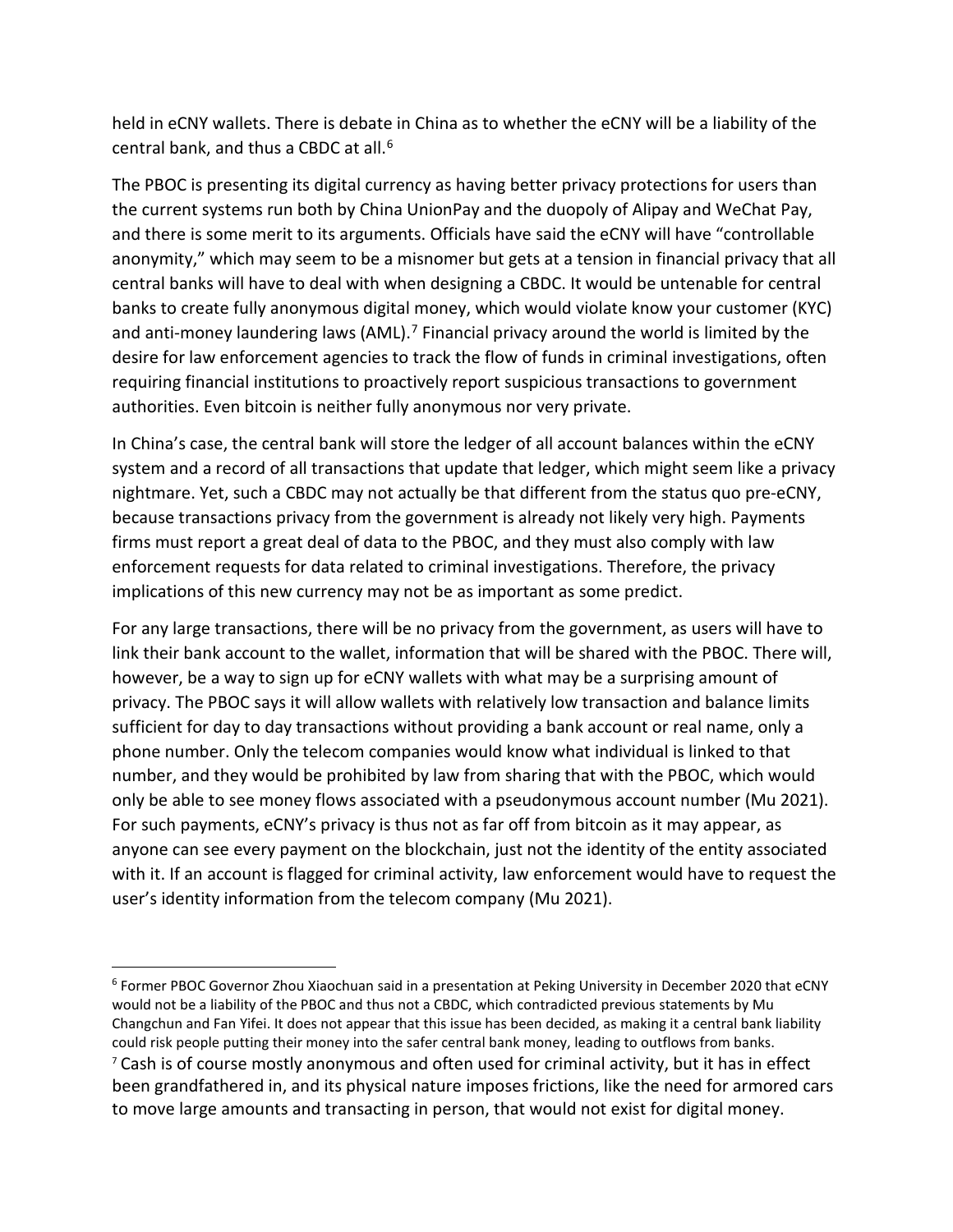held in eCNY wallets. There is debate in China as to whether the eCNY will be a liability of the central bank, and thus a CBDC at all.<sup>[6](#page-8-0)</sup>

The PBOC is presenting its digital currency as having better privacy protections for users than the current systems run both by China UnionPay and the duopoly of Alipay and WeChat Pay, and there is some merit to its arguments. Officials have said the eCNY will have "controllable anonymity," which may seem to be a misnomer but gets at a tension in financial privacy that all central banks will have to deal with when designing a CBDC. It would be untenable for central banks to create fully anonymous digital money, which would violate know your customer (KYC) and anti-money laundering laws (AML).<sup>[7](#page-8-1)</sup> Financial privacy around the world is limited by the desire for law enforcement agencies to track the flow of funds in criminal investigations, often requiring financial institutions to proactively report suspicious transactions to government authorities. Even bitcoin is neither fully anonymous nor very private.

In China's case, the central bank will store the ledger of all account balances within the eCNY system and a record of all transactions that update that ledger, which might seem like a privacy nightmare. Yet, such a CBDC may not actually be that different from the status quo pre-eCNY, because transactions privacy from the government is already not likely very high. Payments firms must report a great deal of data to the PBOC, and they must also comply with law enforcement requests for data related to criminal investigations. Therefore, the privacy implications of this new currency may not be as important as some predict.

For any large transactions, there will be no privacy from the government, as users will have to link their bank account to the wallet, information that will be shared with the PBOC. There will, however, be a way to sign up for eCNY wallets with what may be a surprising amount of privacy. The PBOC says it will allow wallets with relatively low transaction and balance limits sufficient for day to day transactions without providing a bank account or real name, only a phone number. Only the telecom companies would know what individual is linked to that number, and they would be prohibited by law from sharing that with the PBOC, which would only be able to see money flows associated with a pseudonymous account number (Mu 2021). For such payments, eCNY's privacy is thus not as far off from bitcoin as it may appear, as anyone can see every payment on the blockchain, just not the identity of the entity associated with it. If an account is flagged for criminal activity, law enforcement would have to request the user's identity information from the telecom company (Mu 2021).

<span id="page-8-1"></span><span id="page-8-0"></span><sup>6</sup> Former PBOC Governor Zhou Xiaochuan said in a presentation at Peking University in December 2020 that eCNY would not be a liability of the PBOC and thus not a CBDC, which contradicted previous statements by Mu Changchun and Fan Yifei. It does not appear that this issue has been decided, as making it a central bank liability could risk people putting their money into the safer central bank money, leading to outflows from banks. <sup>7</sup> Cash is of course mostly anonymous and often used for criminal activity, but it has in effect been grandfathered in, and its physical nature imposes frictions, like the need for armored cars to move large amounts and transacting in person, that would not exist for digital money.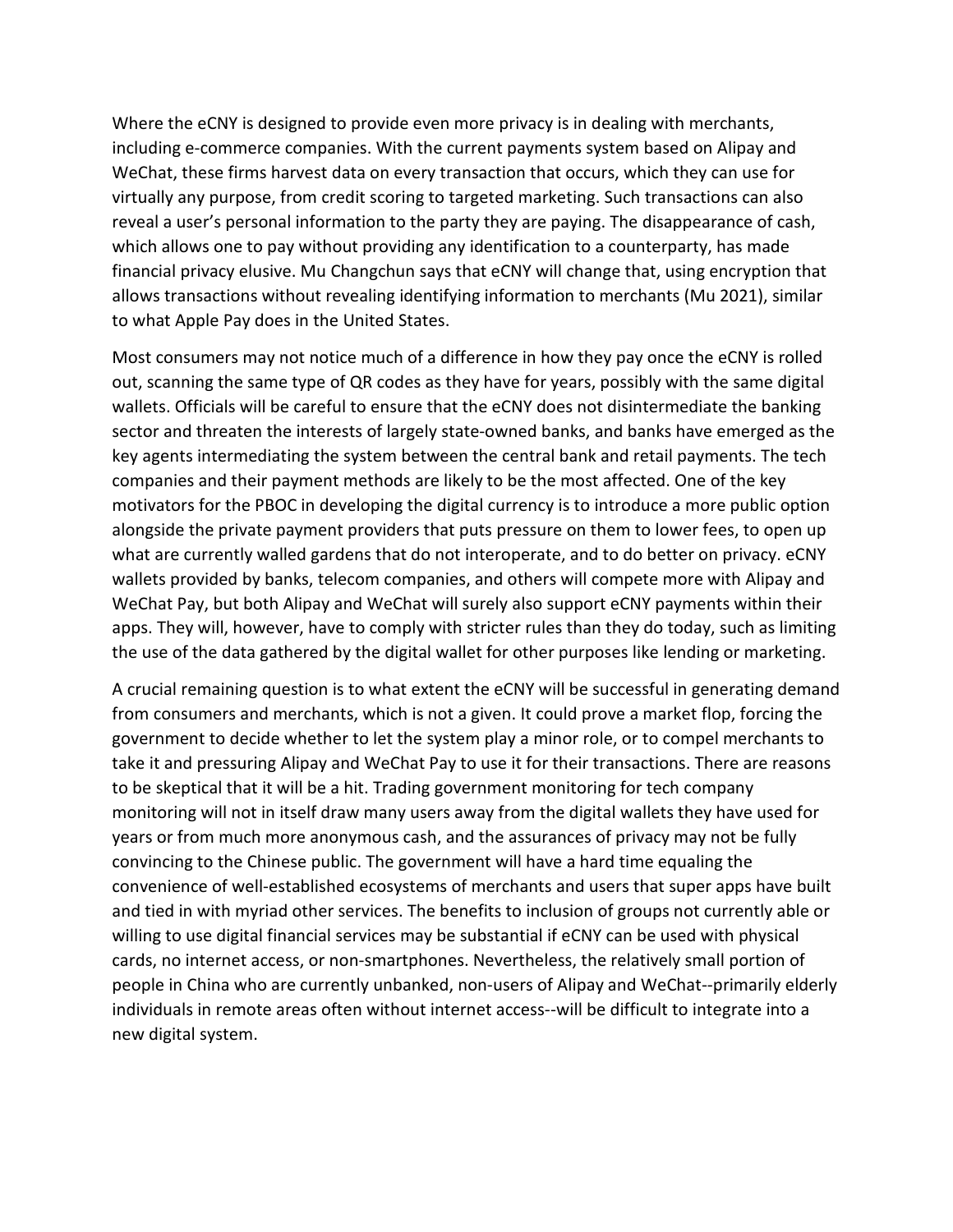Where the eCNY is designed to provide even more privacy is in dealing with merchants, including e-commerce companies. With the current payments system based on Alipay and WeChat, these firms harvest data on every transaction that occurs, which they can use for virtually any purpose, from credit scoring to targeted marketing. Such transactions can also reveal a user's personal information to the party they are paying. The disappearance of cash, which allows one to pay without providing any identification to a counterparty, has made financial privacy elusive. Mu Changchun says that eCNY will change that, using encryption that allows transactions without revealing identifying information to merchants (Mu 2021), similar to what Apple Pay does in the United States.

Most consumers may not notice much of a difference in how they pay once the eCNY is rolled out, scanning the same type of QR codes as they have for years, possibly with the same digital wallets. Officials will be careful to ensure that the eCNY does not disintermediate the banking sector and threaten the interests of largely state-owned banks, and banks have emerged as the key agents intermediating the system between the central bank and retail payments. The tech companies and their payment methods are likely to be the most affected. One of the key motivators for the PBOC in developing the digital currency is to introduce a more public option alongside the private payment providers that puts pressure on them to lower fees, to open up what are currently walled gardens that do not interoperate, and to do better on privacy. eCNY wallets provided by banks, telecom companies, and others will compete more with Alipay and WeChat Pay, but both Alipay and WeChat will surely also support eCNY payments within their apps. They will, however, have to comply with stricter rules than they do today, such as limiting the use of the data gathered by the digital wallet for other purposes like lending or marketing.

A crucial remaining question is to what extent the eCNY will be successful in generating demand from consumers and merchants, which is not a given. It could prove a market flop, forcing the government to decide whether to let the system play a minor role, or to compel merchants to take it and pressuring Alipay and WeChat Pay to use it for their transactions. There are reasons to be skeptical that it will be a hit. Trading government monitoring for tech company monitoring will not in itself draw many users away from the digital wallets they have used for years or from much more anonymous cash, and the assurances of privacy may not be fully convincing to the Chinese public. The government will have a hard time equaling the convenience of well-established ecosystems of merchants and users that super apps have built and tied in with myriad other services. The benefits to inclusion of groups not currently able or willing to use digital financial services may be substantial if eCNY can be used with physical cards, no internet access, or non-smartphones. Nevertheless, the relatively small portion of people in China who are currently unbanked, non-users of Alipay and WeChat--primarily elderly individuals in remote areas often without internet access--will be difficult to integrate into a new digital system.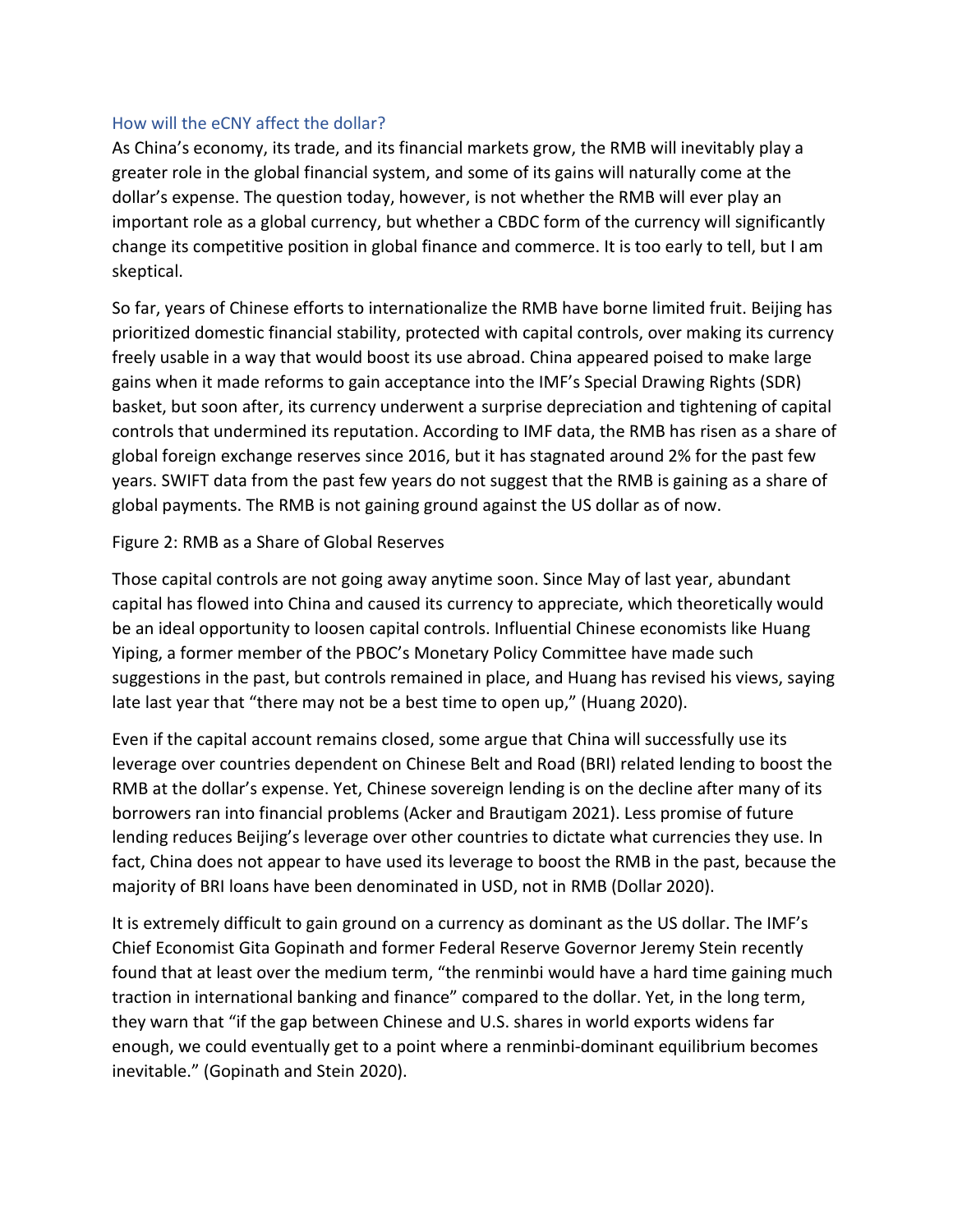#### How will the eCNY affect the dollar?

As China's economy, its trade, and its financial markets grow, the RMB will inevitably play a greater role in the global financial system, and some of its gains will naturally come at the dollar's expense. The question today, however, is not whether the RMB will ever play an important role as a global currency, but whether a CBDC form of the currency will significantly change its competitive position in global finance and commerce. It is too early to tell, but I am skeptical.

So far, years of Chinese efforts to internationalize the RMB have borne limited fruit. Beijing has prioritized domestic financial stability, protected with capital controls, over making its currency freely usable in a way that would boost its use abroad. China appeared poised to make large gains when it made reforms to gain acceptance into the IMF's Special Drawing Rights (SDR) basket, but soon after, its currency underwent a surprise depreciation and tightening of capital controls that undermined its reputation. According to IMF data, the RMB has risen as a share of global foreign exchange reserves since 2016, but it has stagnated around 2% for the past few years. SWIFT data from the past few years do not suggest that the RMB is gaining as a share of global payments. The RMB is not gaining ground against the US dollar as of now.

### Figure 2: RMB as a Share of Global Reserves

Those capital controls are not going away anytime soon. Since May of last year, abundant capital has flowed into China and caused its currency to appreciate, which theoretically would be an ideal opportunity to loosen capital controls. Influential Chinese economists like Huang Yiping, a former member of the PBOC's Monetary Policy Committee have made such suggestions in the past, but controls remained in place, and Huang has revised his views, saying late last year that "there may not be a best time to open up," (Huang 2020).

Even if the capital account remains closed, some argue that China will successfully use its leverage over countries dependent on Chinese Belt and Road (BRI) related lending to boost the RMB at the dollar's expense. Yet, Chinese sovereign lending is on the decline after many of its borrowers ran into financial problems (Acker and Brautigam 2021). Less promise of future lending reduces Beijing's leverage over other countries to dictate what currencies they use. In fact, China does not appear to have used its leverage to boost the RMB in the past, because the majority of BRI loans have been denominated in USD, not in RMB (Dollar 2020).

It is extremely difficult to gain ground on a currency as dominant as the US dollar. The IMF's Chief Economist Gita Gopinath and former Federal Reserve Governor Jeremy Stein recently found that at least over the medium term, "the renminbi would have a hard time gaining much traction in international banking and finance" compared to the dollar. Yet, in the long term, they warn that "if the gap between Chinese and U.S. shares in world exports widens far enough, we could eventually get to a point where a renminbi-dominant equilibrium becomes inevitable." (Gopinath and Stein 2020).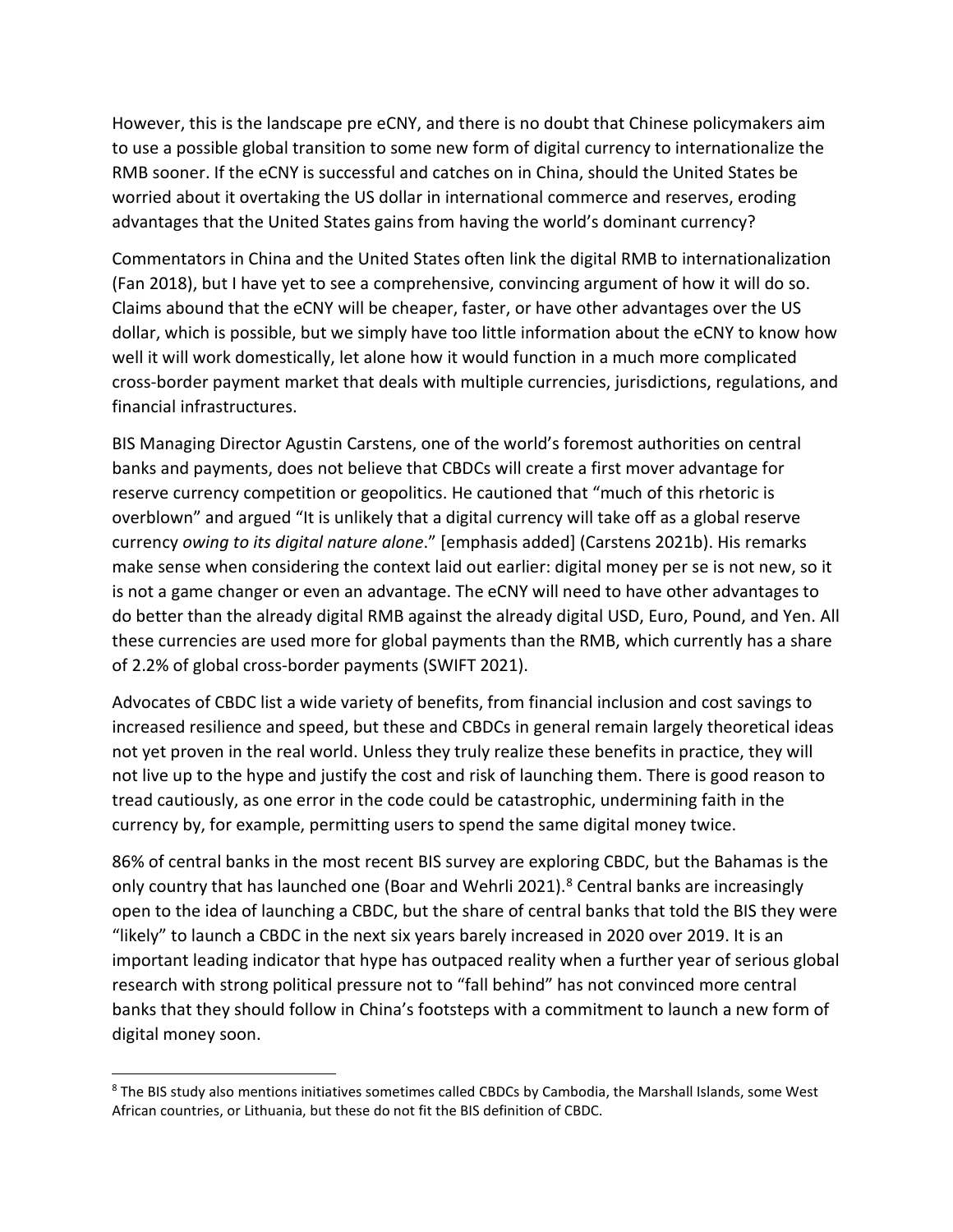However, this is the landscape pre eCNY, and there is no doubt that Chinese policymakers aim to use a possible global transition to some new form of digital currency to internationalize the RMB sooner. If the eCNY is successful and catches on in China, should the United States be worried about it overtaking the US dollar in international commerce and reserves, eroding advantages that the United States gains from having the world's dominant currency?

Commentators in China and the United States often link the digital RMB to internationalization (Fan 2018), but I have yet to see a comprehensive, convincing argument of how it will do so. Claims abound that the eCNY will be cheaper, faster, or have other advantages over the US dollar, which is possible, but we simply have too little information about the eCNY to know how well it will work domestically, let alone how it would function in a much more complicated cross-border payment market that deals with multiple currencies, jurisdictions, regulations, and financial infrastructures.

BIS Managing Director Agustin Carstens, one of the world's foremost authorities on central banks and payments, does not believe that CBDCs will create a first mover advantage for reserve currency competition or geopolitics. He cautioned that "much of this rhetoric is overblown" and argued "It is unlikely that a digital currency will take off as a global reserve currency *owing to its digital nature alone*." [emphasis added] (Carstens 2021b). His remarks make sense when considering the context laid out earlier: digital money per se is not new, so it is not a game changer or even an advantage. The eCNY will need to have other advantages to do better than the already digital RMB against the already digital USD, Euro, Pound, and Yen. All these currencies are used more for global payments than the RMB, which currently has a share of 2.2% of global cross-border payments (SWIFT 2021).

Advocates of CBDC list a wide variety of benefits, from financial inclusion and cost savings to increased resilience and speed, but these and CBDCs in general remain largely theoretical ideas not yet proven in the real world. Unless they truly realize these benefits in practice, they will not live up to the hype and justify the cost and risk of launching them. There is good reason to tread cautiously, as one error in the code could be catastrophic, undermining faith in the currency by, for example, permitting users to spend the same digital money twice.

86% of central banks in the most recent BIS survey are exploring CBDC, but the Bahamas is the only country that has launched one (Boar and Wehrli 2021).<sup>[8](#page-11-0)</sup> Central banks are increasingly open to the idea of launching a CBDC, but the share of central banks that told the BIS they were "likely" to launch a CBDC in the next six years barely increased in 2020 over 2019. It is an important leading indicator that hype has outpaced reality when a further year of serious global research with strong political pressure not to "fall behind" has not convinced more central banks that they should follow in China's footsteps with a commitment to launch a new form of digital money soon.

<span id="page-11-0"></span><sup>&</sup>lt;sup>8</sup> The BIS study also mentions initiatives sometimes called CBDCs by Cambodia, the Marshall Islands, some West African countries, or Lithuania, but these do not fit the BIS definition of CBDC.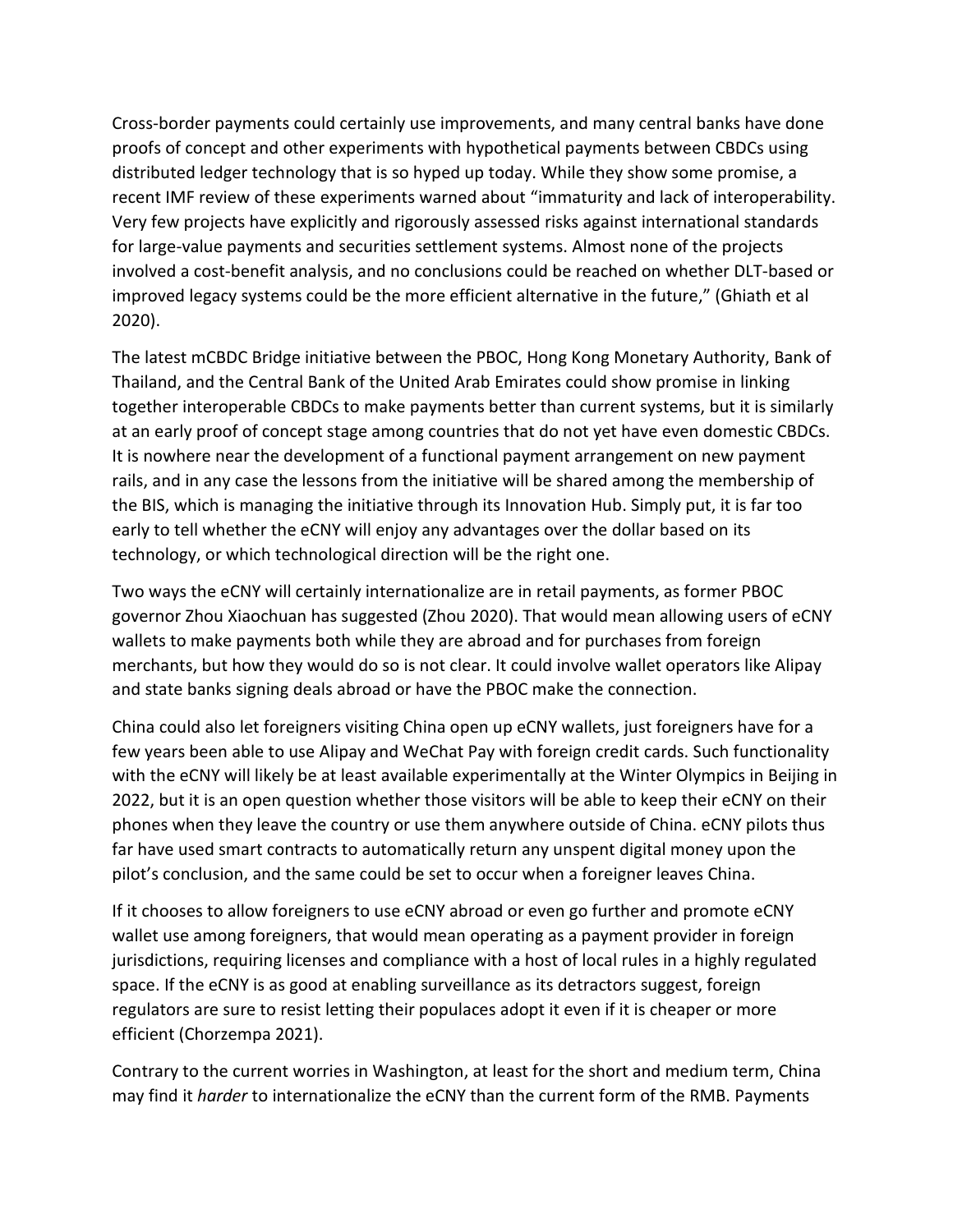Cross-border payments could certainly use improvements, and many central banks have done proofs of concept and other experiments with hypothetical payments between CBDCs using distributed ledger technology that is so hyped up today. While they show some promise, a recent IMF review of these experiments warned about "immaturity and lack of interoperability. Very few projects have explicitly and rigorously assessed risks against international standards for large-value payments and securities settlement systems. Almost none of the projects involved a cost-benefit analysis, and no conclusions could be reached on whether DLT-based or improved legacy systems could be the more efficient alternative in the future," (Ghiath et al 2020).

The latest mCBDC Bridge initiative between the PBOC, Hong Kong Monetary Authority, Bank of Thailand, and the Central Bank of the United Arab Emirates could show promise in linking together interoperable CBDCs to make payments better than current systems, but it is similarly at an early proof of concept stage among countries that do not yet have even domestic CBDCs. It is nowhere near the development of a functional payment arrangement on new payment rails, and in any case the lessons from the initiative will be shared among the membership of the BIS, which is managing the initiative through its Innovation Hub. Simply put, it is far too early to tell whether the eCNY will enjoy any advantages over the dollar based on its technology, or which technological direction will be the right one.

Two ways the eCNY will certainly internationalize are in retail payments, as former PBOC governor Zhou Xiaochuan has suggested (Zhou 2020). That would mean allowing users of eCNY wallets to make payments both while they are abroad and for purchases from foreign merchants, but how they would do so is not clear. It could involve wallet operators like Alipay and state banks signing deals abroad or have the PBOC make the connection.

China could also let foreigners visiting China open up eCNY wallets, just foreigners have for a few years been able to use Alipay and WeChat Pay with foreign credit cards. Such functionality with the eCNY will likely be at least available experimentally at the Winter Olympics in Beijing in 2022, but it is an open question whether those visitors will be able to keep their eCNY on their phones when they leave the country or use them anywhere outside of China. eCNY pilots thus far have used smart contracts to automatically return any unspent digital money upon the pilot's conclusion, and the same could be set to occur when a foreigner leaves China.

If it chooses to allow foreigners to use eCNY abroad or even go further and promote eCNY wallet use among foreigners, that would mean operating as a payment provider in foreign jurisdictions, requiring licenses and compliance with a host of local rules in a highly regulated space. If the eCNY is as good at enabling surveillance as its detractors suggest, foreign regulators are sure to resist letting their populaces adopt it even if it is cheaper or more efficient (Chorzempa 2021).

Contrary to the current worries in Washington, at least for the short and medium term, China may find it *harder* to internationalize the eCNY than the current form of the RMB. Payments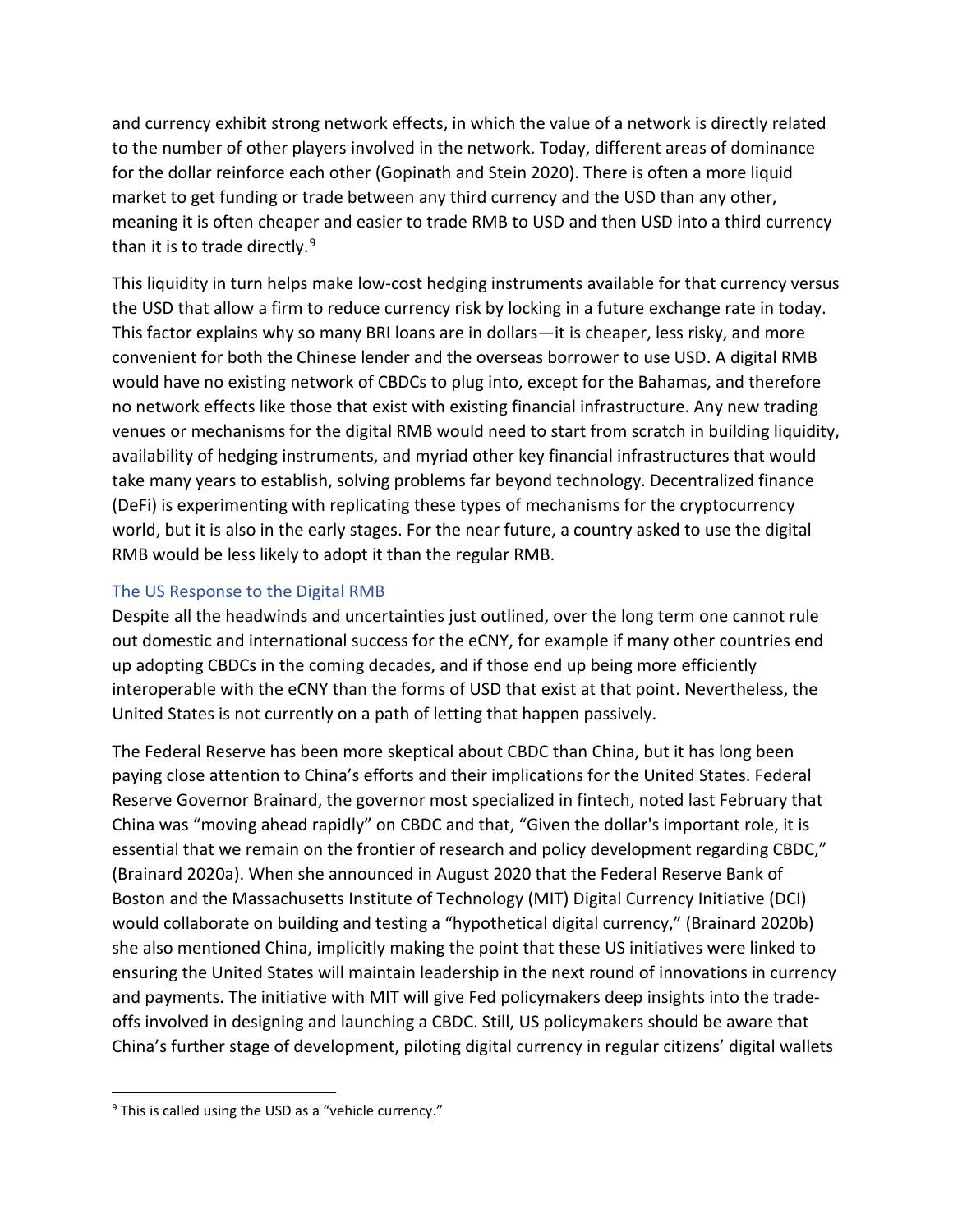and currency exhibit strong network effects, in which the value of a network is directly related to the number of other players involved in the network. Today, different areas of dominance for the dollar reinforce each other (Gopinath and Stein 2020). There is often a more liquid market to get funding or trade between any third currency and the USD than any other, meaning it is often cheaper and easier to trade RMB to USD and then USD into a third currency than it is to trade directly.<sup>[9](#page-13-0)</sup>

This liquidity in turn helps make low-cost hedging instruments available for that currency versus the USD that allow a firm to reduce currency risk by locking in a future exchange rate in today. This factor explains why so many BRI loans are in dollars—it is cheaper, less risky, and more convenient for both the Chinese lender and the overseas borrower to use USD. A digital RMB would have no existing network of CBDCs to plug into, except for the Bahamas, and therefore no network effects like those that exist with existing financial infrastructure. Any new trading venues or mechanisms for the digital RMB would need to start from scratch in building liquidity, availability of hedging instruments, and myriad other key financial infrastructures that would take many years to establish, solving problems far beyond technology. Decentralized finance (DeFi) is experimenting with replicating these types of mechanisms for the cryptocurrency world, but it is also in the early stages. For the near future, a country asked to use the digital RMB would be less likely to adopt it than the regular RMB.

## The US Response to the Digital RMB

Despite all the headwinds and uncertainties just outlined, over the long term one cannot rule out domestic and international success for the eCNY, for example if many other countries end up adopting CBDCs in the coming decades, and if those end up being more efficiently interoperable with the eCNY than the forms of USD that exist at that point. Nevertheless, the United States is not currently on a path of letting that happen passively.

The Federal Reserve has been more skeptical about CBDC than China, but it has long been paying close attention to China's efforts and their implications for the United States. Federal Reserve Governor Brainard, the governor most specialized in fintech, noted last February that China was "moving ahead rapidly" on CBDC and that, "Given the dollar's important role, it is essential that we remain on the frontier of research and policy development regarding CBDC," (Brainard 2020a). When she announced in August 2020 that the Federal Reserve Bank of Boston and the Massachusetts Institute of Technology (MIT) Digital Currency Initiative (DCI) would collaborate on building and testing a "hypothetical digital currency," (Brainard 2020b) she also mentioned China, implicitly making the point that these US initiatives were linked to ensuring the United States will maintain leadership in the next round of innovations in currency and payments. The initiative with MIT will give Fed policymakers deep insights into the tradeoffs involved in designing and launching a CBDC. Still, US policymakers should be aware that China's further stage of development, piloting digital currency in regular citizens' digital wallets

<span id="page-13-0"></span> $9$  This is called using the USD as a "vehicle currency."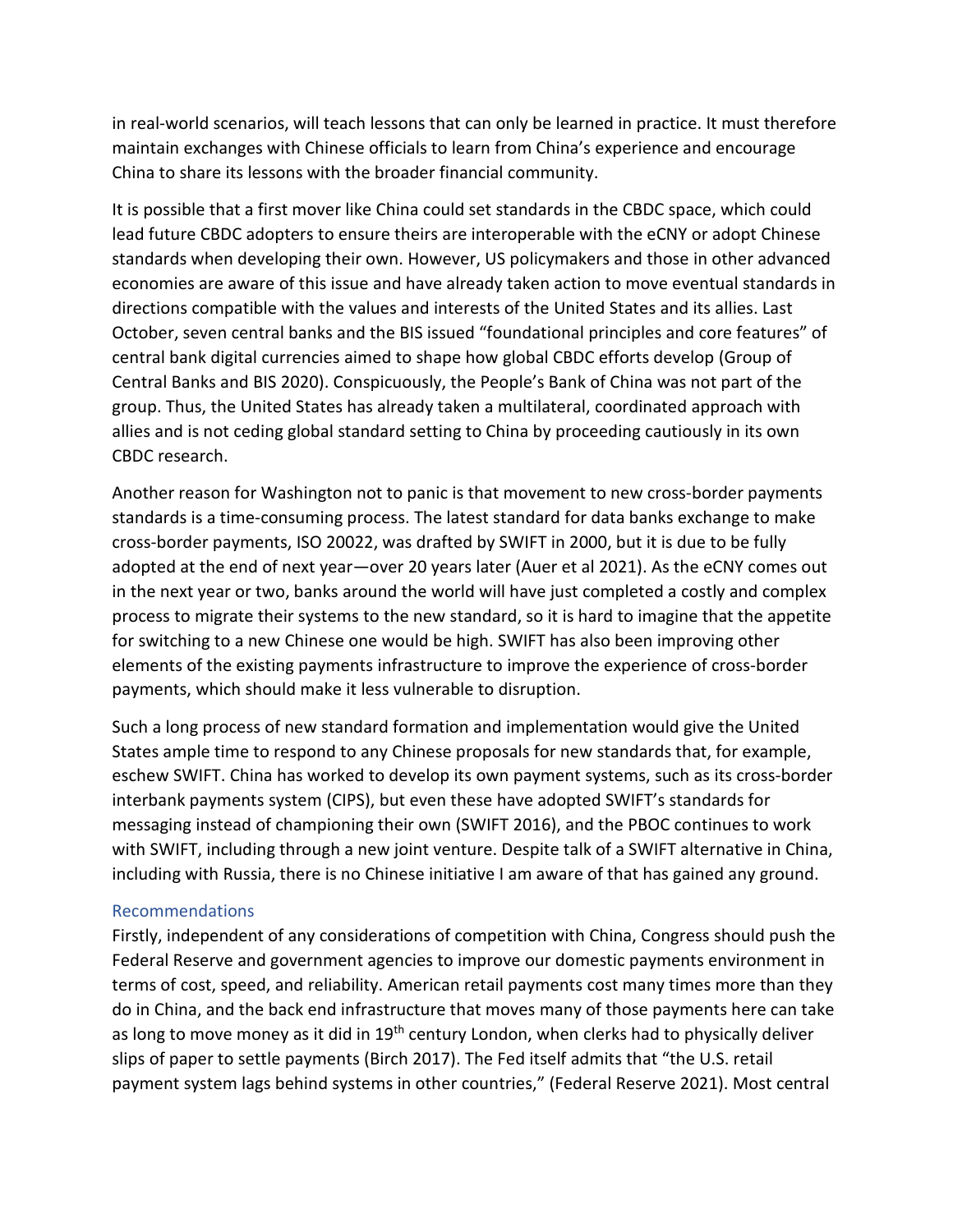in real-world scenarios, will teach lessons that can only be learned in practice. It must therefore maintain exchanges with Chinese officials to learn from China's experience and encourage China to share its lessons with the broader financial community.

It is possible that a first mover like China could set standards in the CBDC space, which could lead future CBDC adopters to ensure theirs are interoperable with the eCNY or adopt Chinese standards when developing their own. However, US policymakers and those in other advanced economies are aware of this issue and have already taken action to move eventual standards in directions compatible with the values and interests of the United States and its allies. Last October, seven central banks and the BIS issued "foundational principles and core features" of central bank digital currencies aimed to shape how global CBDC efforts develop (Group of Central Banks and BIS 2020). Conspicuously, the People's Bank of China was not part of the group. Thus, the United States has already taken a multilateral, coordinated approach with allies and is not ceding global standard setting to China by proceeding cautiously in its own CBDC research.

Another reason for Washington not to panic is that movement to new cross-border payments standards is a time-consuming process. The latest standard for data banks exchange to make cross-border payments, ISO 20022, was drafted by SWIFT in 2000, but it is due to be fully adopted at the end of next year—over 20 years later (Auer et al 2021). As the eCNY comes out in the next year or two, banks around the world will have just completed a costly and complex process to migrate their systems to the new standard, so it is hard to imagine that the appetite for switching to a new Chinese one would be high. SWIFT has also been improving other elements of the existing payments infrastructure to improve the experience of cross-border payments, which should make it less vulnerable to disruption.

Such a long process of new standard formation and implementation would give the United States ample time to respond to any Chinese proposals for new standards that, for example, eschew SWIFT. China has worked to develop its own payment systems, such as its cross-border interbank payments system (CIPS), but even these have adopted SWIFT's standards for messaging instead of championing their own (SWIFT 2016), and the PBOC continues to work with SWIFT, including through a new joint venture. Despite talk of a SWIFT alternative in China, including with Russia, there is no Chinese initiative I am aware of that has gained any ground.

### Recommendations

Firstly, independent of any considerations of competition with China, Congress should push the Federal Reserve and government agencies to improve our domestic payments environment in terms of cost, speed, and reliability. American retail payments cost many times more than they do in China, and the back end infrastructure that moves many of those payments here can take as long to move money as it did in 19<sup>th</sup> century London, when clerks had to physically deliver slips of paper to settle payments (Birch 2017). The Fed itself admits that "the U.S. retail payment system lags behind systems in other countries," (Federal Reserve 2021). Most central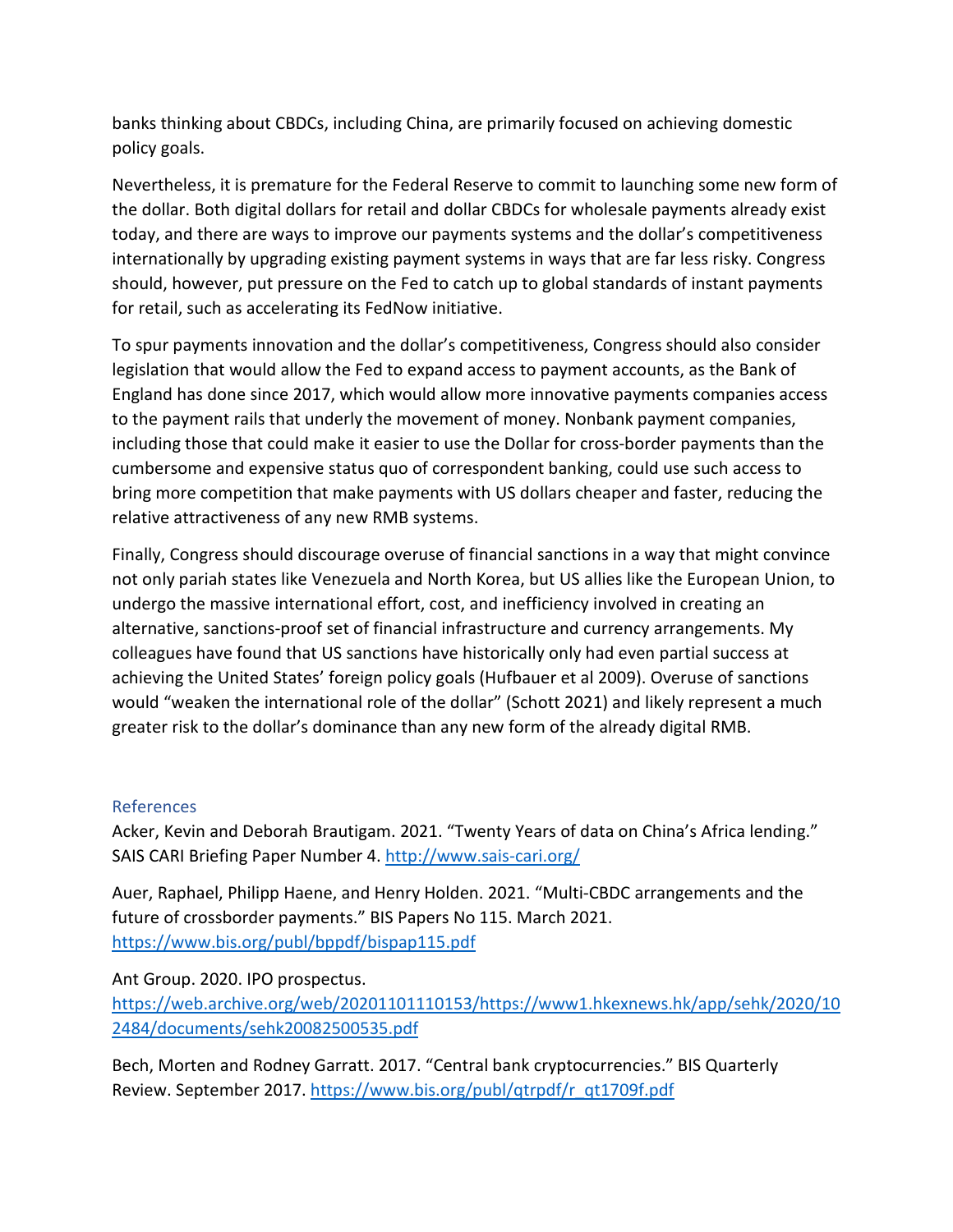banks thinking about CBDCs, including China, are primarily focused on achieving domestic policy goals.

Nevertheless, it is premature for the Federal Reserve to commit to launching some new form of the dollar. Both digital dollars for retail and dollar CBDCs for wholesale payments already exist today, and there are ways to improve our payments systems and the dollar's competitiveness internationally by upgrading existing payment systems in ways that are far less risky. Congress should, however, put pressure on the Fed to catch up to global standards of instant payments for retail, such as accelerating its FedNow initiative.

To spur payments innovation and the dollar's competitiveness, Congress should also consider legislation that would allow the Fed to expand access to payment accounts, as the Bank of England has done since 2017, which would allow more innovative payments companies access to the payment rails that underly the movement of money. Nonbank payment companies, including those that could make it easier to use the Dollar for cross-border payments than the cumbersome and expensive status quo of correspondent banking, could use such access to bring more competition that make payments with US dollars cheaper and faster, reducing the relative attractiveness of any new RMB systems.

Finally, Congress should discourage overuse of financial sanctions in a way that might convince not only pariah states like Venezuela and North Korea, but US allies like the European Union, to undergo the massive international effort, cost, and inefficiency involved in creating an alternative, sanctions-proof set of financial infrastructure and currency arrangements. My colleagues have found that US sanctions have historically only had even partial success at achieving the United States' foreign policy goals (Hufbauer et al 2009). Overuse of sanctions would "weaken the international role of the dollar" (Schott 2021) and likely represent a much greater risk to the dollar's dominance than any new form of the already digital RMB.

# References

Acker, Kevin and Deborah Brautigam. 2021. "Twenty Years of data on China's Africa lending." SAIS CARI Briefing Paper Number 4.<http://www.sais-cari.org/>

Auer, Raphael, Philipp Haene, and Henry Holden. 2021. "Multi-CBDC arrangements and the future of crossborder payments." BIS Papers No 115. March 2021. <https://www.bis.org/publ/bppdf/bispap115.pdf>

Ant Group. 2020. IPO prospectus.

[https://web.archive.org/web/20201101110153/https://www1.hkexnews.hk/app/sehk/2020/10](https://web.archive.org/web/20201101110153/https:/www1.hkexnews.hk/app/sehk/2020/102484/documents/sehk20082500535.pdf) [2484/documents/sehk20082500535.pdf](https://web.archive.org/web/20201101110153/https:/www1.hkexnews.hk/app/sehk/2020/102484/documents/sehk20082500535.pdf)

Bech, Morten and Rodney Garratt. 2017. "Central bank cryptocurrencies." BIS Quarterly Review. September 2017. [https://www.bis.org/publ/qtrpdf/r\\_qt1709f.pdf](https://www.bis.org/publ/qtrpdf/r_qt1709f.pdf)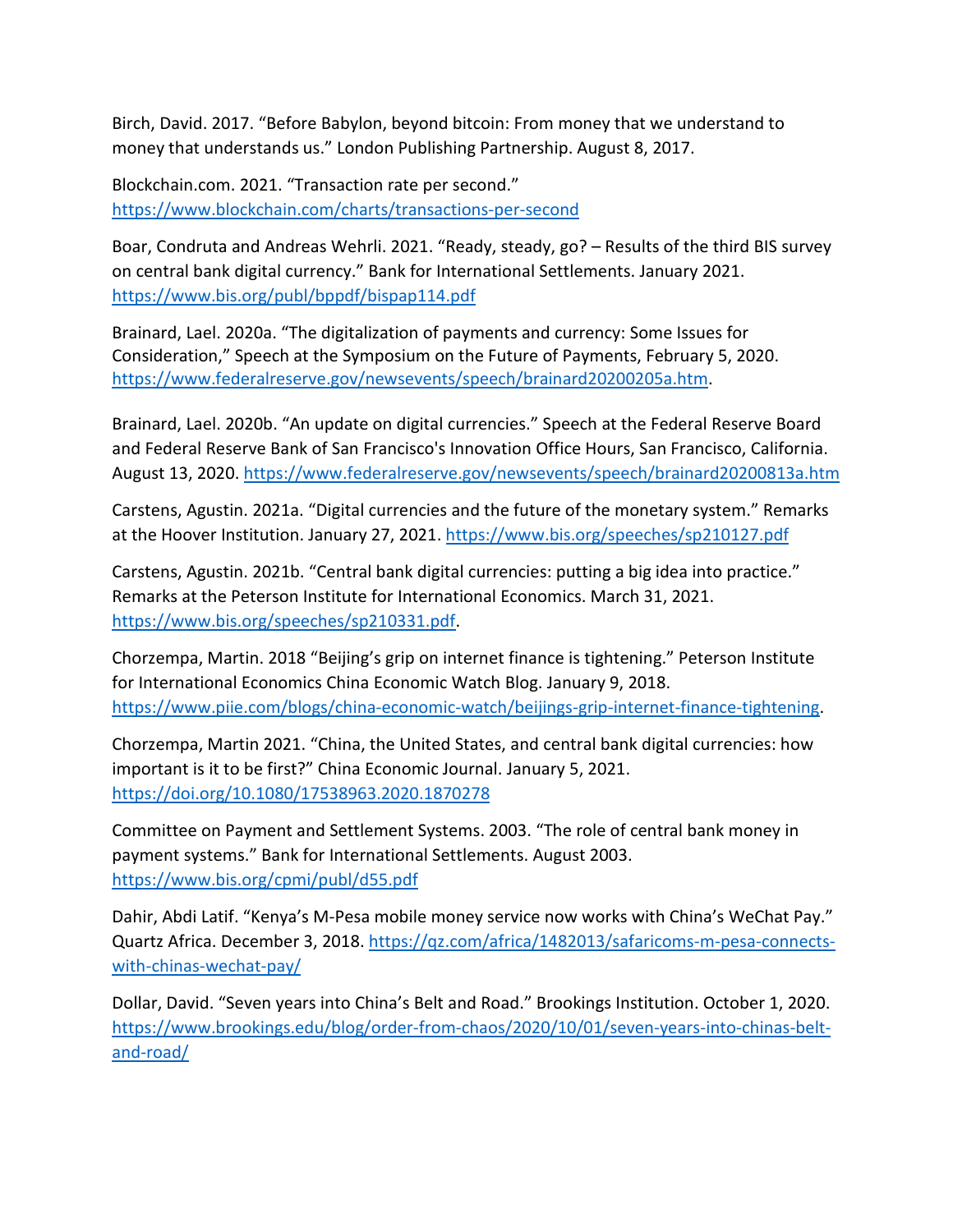Birch, David. 2017. "Before Babylon, beyond bitcoin: From money that we understand to money that understands us." London Publishing Partnership. August 8, 2017.

Blockchain.com. 2021. "Transaction rate per second." <https://www.blockchain.com/charts/transactions-per-second>

Boar, Condruta and Andreas Wehrli. 2021. "Ready, steady, go? – Results of the third BIS survey on central bank digital currency." Bank for International Settlements. January 2021. <https://www.bis.org/publ/bppdf/bispap114.pdf>

Brainard, Lael. 2020a. "The digitalization of payments and currency: Some Issues for Consideration," Speech at the Symposium on the Future of Payments, February 5, 2020. [https://www.federalreserve.gov/newsevents/speech/brainard20200205a.htm.](https://www.federalreserve.gov/newsevents/speech/brainard20200205a.htm)

Brainard, Lael. 2020b. "An update on digital currencies." Speech at the Federal Reserve Board and Federal Reserve Bank of San Francisco's Innovation Office Hours, San Francisco, California. August 13, 2020. <https://www.federalreserve.gov/newsevents/speech/brainard20200813a.htm>

Carstens, Agustin. 2021a. "Digital currencies and the future of the monetary system." Remarks at the Hoover Institution. January 27, 2021.<https://www.bis.org/speeches/sp210127.pdf>

Carstens, Agustin. 2021b. "Central bank digital currencies: putting a big idea into practice." Remarks at the Peterson Institute for International Economics. March 31, 2021. [https://www.bis.org/speeches/sp210331.pdf.](https://www.bis.org/speeches/sp210331.pdf)

Chorzempa, Martin. 2018 "Beijing's grip on internet finance is tightening." Peterson Institute for International Economics China Economic Watch Blog. January 9, 2018. [https://www.piie.com/blogs/china-economic-watch/beijings-grip-internet-finance-tightening.](https://www.piie.com/blogs/china-economic-watch/beijings-grip-internet-finance-tightening)

Chorzempa, Martin 2021. "China, the United States, and central bank digital currencies: how important is it to be first?" China Economic Journal. January 5, 2021. <https://doi.org/10.1080/17538963.2020.1870278>

Committee on Payment and Settlement Systems. 2003. "The role of central bank money in payment systems." Bank for International Settlements. August 2003. <https://www.bis.org/cpmi/publ/d55.pdf>

Dahir, Abdi Latif. "Kenya's M-Pesa mobile money service now works with China's WeChat Pay." Quartz Africa. December 3, 2018. [https://qz.com/africa/1482013/safaricoms-m-pesa-connects](https://qz.com/africa/1482013/safaricoms-m-pesa-connects-with-chinas-wechat-pay/)[with-chinas-wechat-pay/](https://qz.com/africa/1482013/safaricoms-m-pesa-connects-with-chinas-wechat-pay/)

Dollar, David. "Seven years into China's Belt and Road." Brookings Institution. October 1, 2020. [https://www.brookings.edu/blog/order-from-chaos/2020/10/01/seven-years-into-chinas-belt](https://www.brookings.edu/blog/order-from-chaos/2020/10/01/seven-years-into-chinas-belt-and-road/)[and-road/](https://www.brookings.edu/blog/order-from-chaos/2020/10/01/seven-years-into-chinas-belt-and-road/)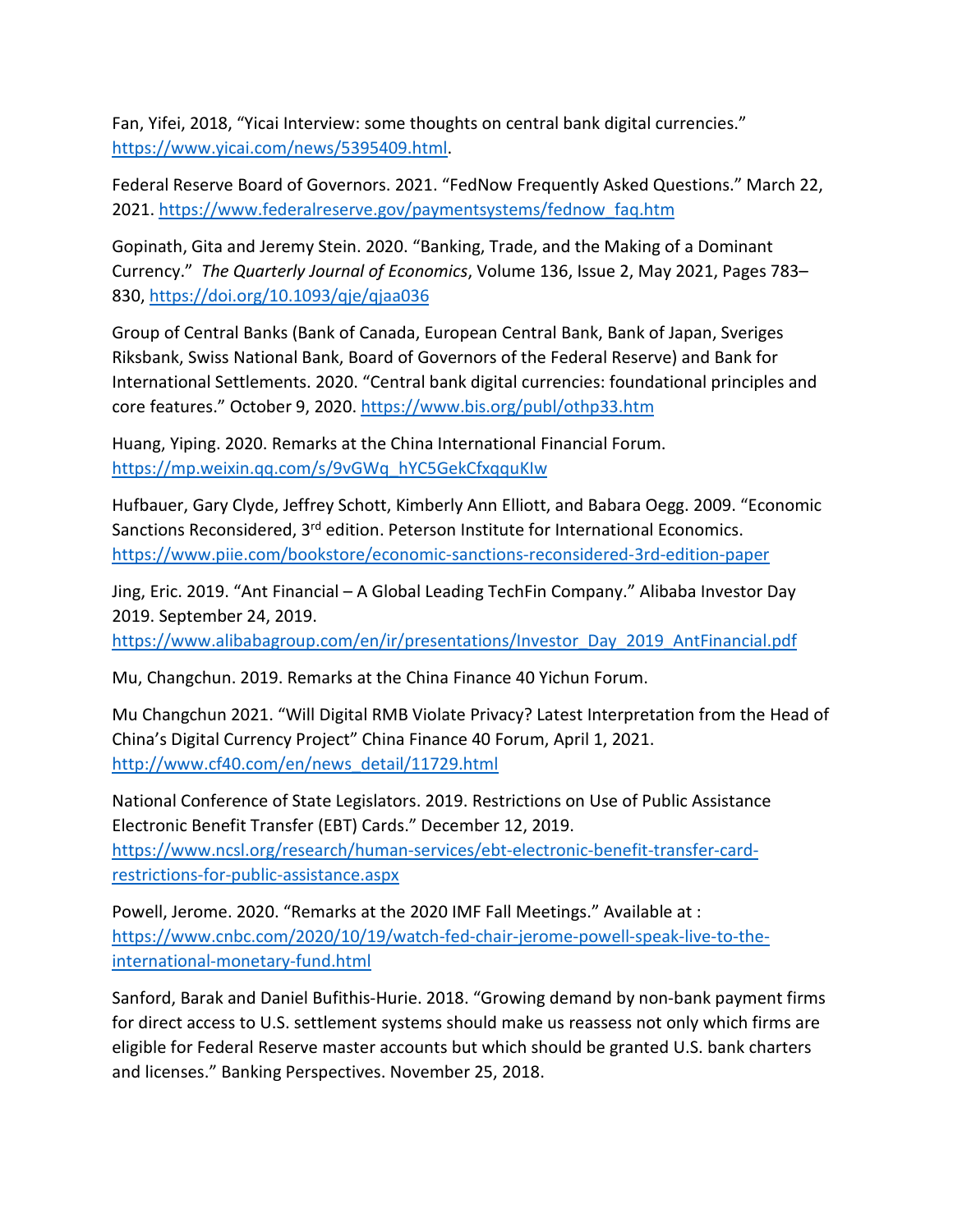Fan, Yifei, 2018, "Yicai Interview: some thoughts on central bank digital currencies." [https://www.yicai.com/news/5395409.html.](https://www.yicai.com/news/5395409.html)

Federal Reserve Board of Governors. 2021. "FedNow Frequently Asked Questions." March 22, 2021. [https://www.federalreserve.gov/paymentsystems/fednow\\_faq.htm](https://www.federalreserve.gov/paymentsystems/fednow_faq.htm)

Gopinath, Gita and Jeremy Stein. 2020. "Banking, Trade, and the Making of a Dominant Currency." *The Quarterly Journal of Economics*, Volume 136, Issue 2, May 2021, Pages 783– 830, <https://doi.org/10.1093/qje/qjaa036>

Group of Central Banks (Bank of Canada, European Central Bank, Bank of Japan, Sveriges Riksbank, Swiss National Bank, Board of Governors of the Federal Reserve) and Bank for International Settlements. 2020. "Central bank digital currencies: foundational principles and core features." October 9, 2020.<https://www.bis.org/publ/othp33.htm>

Huang, Yiping. 2020. Remarks at the China International Financial Forum. [https://mp.weixin.qq.com/s/9vGWq\\_hYC5GekCfxqquKIw](https://mp.weixin.qq.com/s/9vGWq_hYC5GekCfxqquKIw)

Hufbauer, Gary Clyde, Jeffrey Schott, Kimberly Ann Elliott, and Babara Oegg. 2009. "Economic Sanctions Reconsidered, 3<sup>rd</sup> edition. Peterson Institute for International Economics. <https://www.piie.com/bookstore/economic-sanctions-reconsidered-3rd-edition-paper>

Jing, Eric. 2019. "Ant Financial – A Global Leading TechFin Company." Alibaba Investor Day 2019. September 24, 2019.

[https://www.alibabagroup.com/en/ir/presentations/Investor\\_Day\\_2019\\_AntFinancial.pdf](https://www.alibabagroup.com/en/ir/presentations/Investor_Day_2019_AntFinancial.pdf)

Mu, Changchun. 2019. Remarks at the China Finance 40 Yichun Forum.

Mu Changchun 2021. "Will Digital RMB Violate Privacy? Latest Interpretation from the Head of China's Digital Currency Project" China Finance 40 Forum, April 1, 2021. [http://www.cf40.com/en/news\\_detail/11729.html](http://www.cf40.com/en/news_detail/11729.html)

National Conference of State Legislators. 2019. Restrictions on Use of Public Assistance Electronic Benefit Transfer (EBT) Cards." December 12, 2019. [https://www.ncsl.org/research/human-services/ebt-electronic-benefit-transfer-card](https://www.ncsl.org/research/human-services/ebt-electronic-benefit-transfer-card-restrictions-for-public-assistance.aspx)[restrictions-for-public-assistance.aspx](https://www.ncsl.org/research/human-services/ebt-electronic-benefit-transfer-card-restrictions-for-public-assistance.aspx)

Powell, Jerome. 2020. "Remarks at the 2020 IMF Fall Meetings." Available at : [https://www.cnbc.com/2020/10/19/watch-fed-chair-jerome-powell-speak-live-to-the](https://www.cnbc.com/2020/10/19/watch-fed-chair-jerome-powell-speak-live-to-the-international-monetary-fund.html)[international-monetary-fund.html](https://www.cnbc.com/2020/10/19/watch-fed-chair-jerome-powell-speak-live-to-the-international-monetary-fund.html)

Sanford, Barak and Daniel Bufithis-Hurie. 2018. "Growing demand by non-bank payment firms for direct access to U.S. settlement systems should make us reassess not only which firms are eligible for Federal Reserve master accounts but which should be granted U.S. bank charters and licenses." Banking Perspectives. November 25, 2018.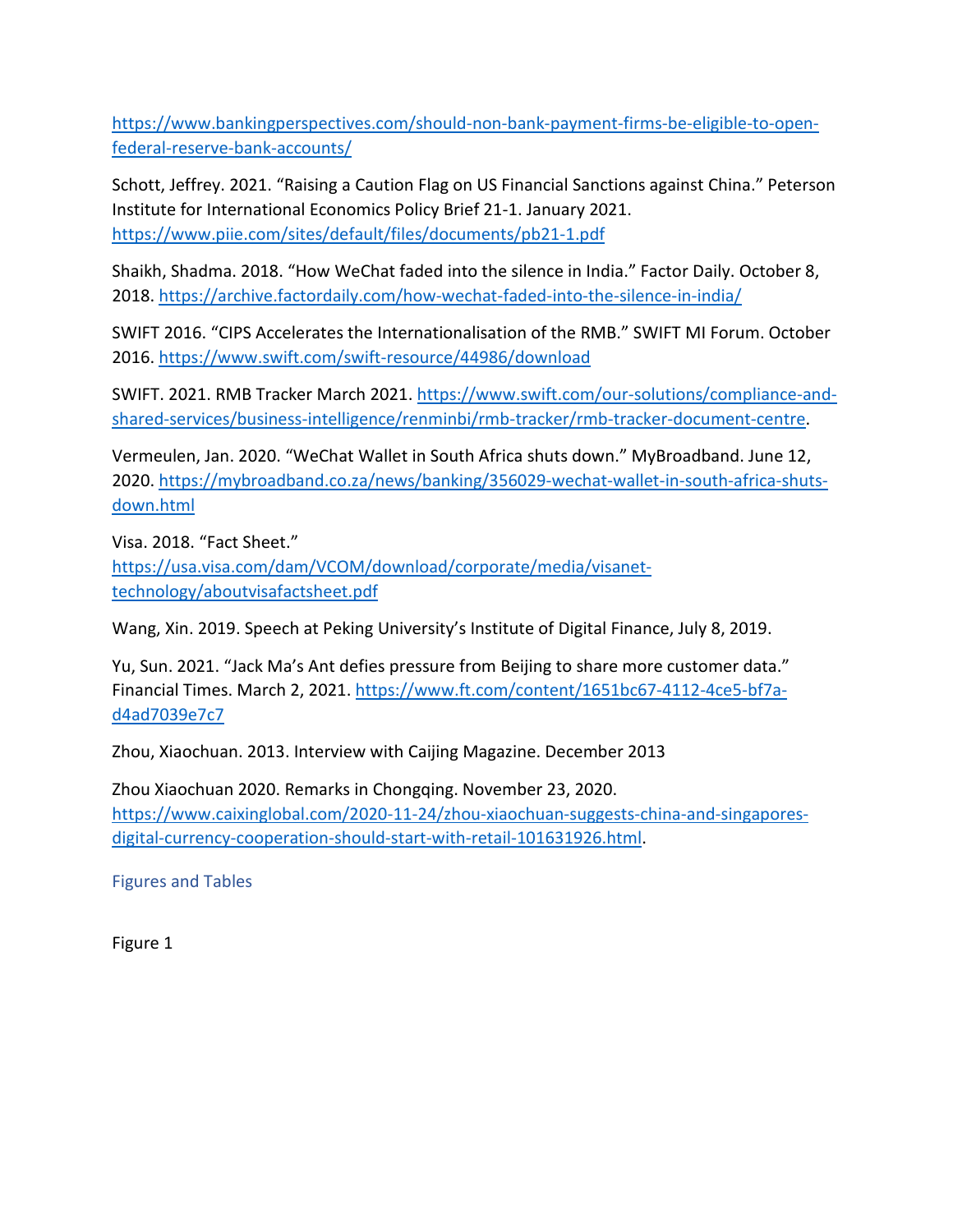[https://www.bankingperspectives.com/should-non-bank-payment-firms-be-eligible-to-open](https://www.bankingperspectives.com/should-non-bank-payment-firms-be-eligible-to-open-federal-reserve-bank-accounts/)[federal-reserve-bank-accounts/](https://www.bankingperspectives.com/should-non-bank-payment-firms-be-eligible-to-open-federal-reserve-bank-accounts/)

Schott, Jeffrey. 2021. "Raising a Caution Flag on US Financial Sanctions against China." Peterson Institute for International Economics Policy Brief 21-1. January 2021. <https://www.piie.com/sites/default/files/documents/pb21-1.pdf>

Shaikh, Shadma. 2018. "How WeChat faded into the silence in India." Factor Daily. October 8, 2018.<https://archive.factordaily.com/how-wechat-faded-into-the-silence-in-india/>

SWIFT 2016. "CIPS Accelerates the Internationalisation of the RMB." SWIFT MI Forum. October 2016.<https://www.swift.com/swift-resource/44986/download>

SWIFT. 2021. RMB Tracker March 2021. [https://www.swift.com/our-solutions/compliance-and](https://www.swift.com/our-solutions/compliance-and-shared-services/business-intelligence/renminbi/rmb-tracker/rmb-tracker-document-centre)[shared-services/business-intelligence/renminbi/rmb-tracker/rmb-tracker-document-centre.](https://www.swift.com/our-solutions/compliance-and-shared-services/business-intelligence/renminbi/rmb-tracker/rmb-tracker-document-centre)

Vermeulen, Jan. 2020. "WeChat Wallet in South Africa shuts down." MyBroadband. June 12, 2020. [https://mybroadband.co.za/news/banking/356029-wechat-wallet-in-south-africa-shuts](https://mybroadband.co.za/news/banking/356029-wechat-wallet-in-south-africa-shuts-down.html)[down.html](https://mybroadband.co.za/news/banking/356029-wechat-wallet-in-south-africa-shuts-down.html)

Visa. 2018. "Fact Sheet." [https://usa.visa.com/dam/VCOM/download/corporate/media/visanet](https://usa.visa.com/dam/VCOM/download/corporate/media/visanet-technology/aboutvisafactsheet.pdf)[technology/aboutvisafactsheet.pdf](https://usa.visa.com/dam/VCOM/download/corporate/media/visanet-technology/aboutvisafactsheet.pdf)

Wang, Xin. 2019. Speech at Peking University's Institute of Digital Finance, July 8, 2019.

Yu, Sun. 2021. "Jack Ma's Ant defies pressure from Beijing to share more customer data." Financial Times. March 2, 2021. [https://www.ft.com/content/1651bc67-4112-4ce5-bf7a](https://www.ft.com/content/1651bc67-4112-4ce5-bf7a-d4ad7039e7c7)[d4ad7039e7c7](https://www.ft.com/content/1651bc67-4112-4ce5-bf7a-d4ad7039e7c7)

Zhou, Xiaochuan. 2013. Interview with Caijing Magazine. December 2013

Zhou Xiaochuan 2020. Remarks in Chongqing. November 23, 2020. [https://www.caixinglobal.com/2020-11-24/zhou-xiaochuan-suggests-china-and-singapores](https://www.caixinglobal.com/2020-11-24/zhou-xiaochuan-suggests-china-and-singapores-digital-currency-cooperation-should-start-with-retail-101631926.html)[digital-currency-cooperation-should-start-with-retail-101631926.html.](https://www.caixinglobal.com/2020-11-24/zhou-xiaochuan-suggests-china-and-singapores-digital-currency-cooperation-should-start-with-retail-101631926.html)

Figures and Tables

Figure 1